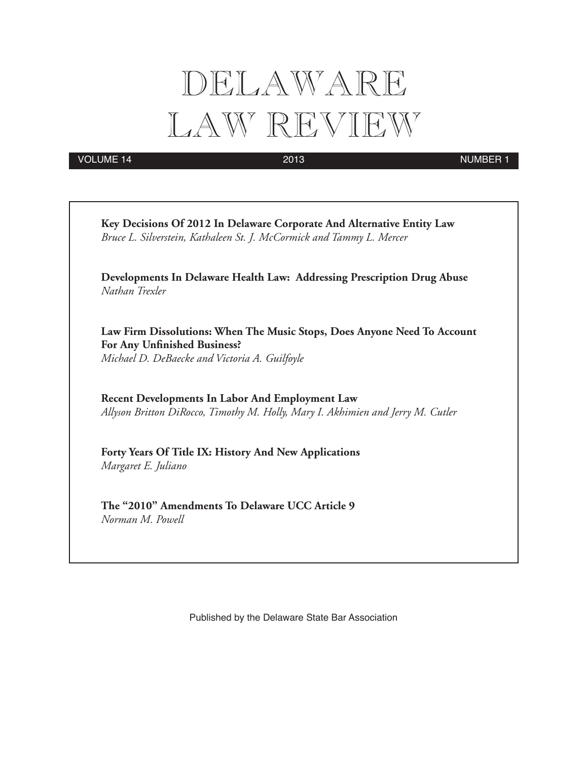# DELAWARE LAW REVIEW

VOLUME 14 2013 2013

|                     | Key Decisions Of 2012 In Delaware Corporate And Alternative Entity Law<br>Bruce L. Silverstein, Kathaleen St. J. McCormick and Tammy L. Mercer            |
|---------------------|-----------------------------------------------------------------------------------------------------------------------------------------------------------|
| Nathan Trexler      | Developments In Delaware Health Law: Addressing Prescription Drug Abuse                                                                                   |
|                     | Law Firm Dissolutions: When The Music Stops, Does Anyone Need To Account<br>For Any Unfinished Business?<br>Michael D. DeBaecke and Victoria A. Guilfoyle |
|                     | <b>Recent Developments In Labor And Employment Law</b><br>Allyson Britton DiRocco, Timothy M. Holly, Mary I. Akhimien and Jerry M. Cutler                 |
| Margaret E. Juliano | Forty Years Of Title IX: History And New Applications                                                                                                     |

Published by the Delaware State Bar Association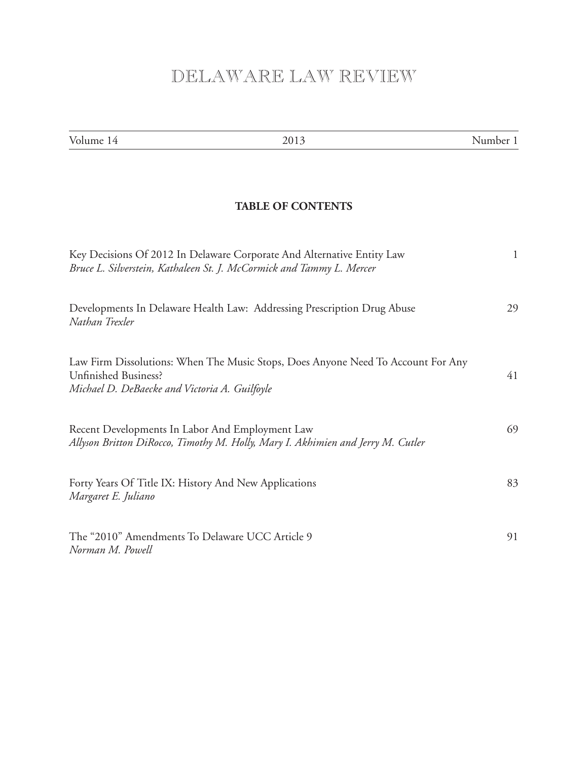# DELAWARE LAW REVIEW

| Volume 14                                                                    | 2013                                                                                                                                           | Number 1    |
|------------------------------------------------------------------------------|------------------------------------------------------------------------------------------------------------------------------------------------|-------------|
|                                                                              |                                                                                                                                                |             |
|                                                                              | <b>TABLE OF CONTENTS</b>                                                                                                                       |             |
|                                                                              | Key Decisions Of 2012 In Delaware Corporate And Alternative Entity Law<br>Bruce L. Silverstein, Kathaleen St. J. McCormick and Tammy L. Mercer | $\mathbf 1$ |
| Nathan Trexler                                                               | Developments In Delaware Health Law: Addressing Prescription Drug Abuse                                                                        | 29          |
| <b>Unfinished Business?</b><br>Michael D. DeBaecke and Victoria A. Guilfoyle | Law Firm Dissolutions: When The Music Stops, Does Anyone Need To Account For Any                                                               | 41          |
| Recent Developments In Labor And Employment Law                              | Allyson Britton DiRocco, Timothy M. Holly, Mary I. Akhimien and Jerry M. Cutler                                                                | 69          |
| Forty Years Of Title IX: History And New Applications<br>Margaret E. Juliano |                                                                                                                                                | 83          |
| The "2010" Amendments To Delaware UCC Article 9<br>Norman M. Powell          |                                                                                                                                                | 91          |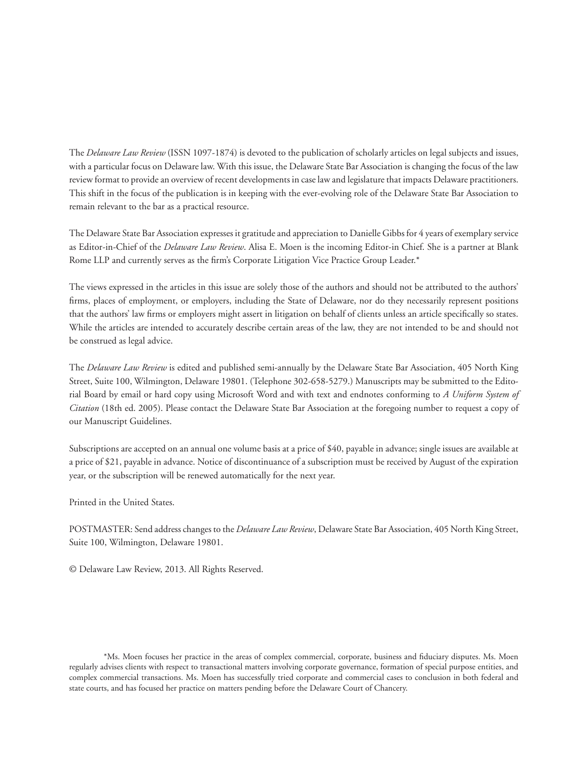The *Delaware Law Review* (ISSN 1097-1874) is devoted to the publication of scholarly articles on legal subjects and issues, with a particular focus on Delaware law. With this issue, the Delaware State Bar Association is changing the focus of the law review format to provide an overview of recent developments in case law and legislature that impacts Delaware practitioners. This shift in the focus of the publication is in keeping with the ever-evolving role of the Delaware State Bar Association to remain relevant to the bar as a practical resource.

The Delaware State Bar Association expresses it gratitude and appreciation to Danielle Gibbs for 4 years of exemplary service as Editor-in-Chief of the *Delaware Law Review*. Alisa E. Moen is the incoming Editor-in Chief. She is a partner at Blank Rome LLP and currently serves as the firm's Corporate Litigation Vice Practice Group Leader.\*

The views expressed in the articles in this issue are solely those of the authors and should not be attributed to the authors' firms, places of employment, or employers, including the State of Delaware, nor do they necessarily represent positions that the authors' law firms or employers might assert in litigation on behalf of clients unless an article specifically so states. While the articles are intended to accurately describe certain areas of the law, they are not intended to be and should not be construed as legal advice.

The *Delaware Law Review* is edited and published semi-annually by the Delaware State Bar Association, 405 North King Street, Suite 100, Wilmington, Delaware 19801. (Telephone 302-658-5279.) Manuscripts may be submitted to the Editorial Board by email or hard copy using Microsoft Word and with text and endnotes conforming to *A Uniform System of Citation* (18th ed. 2005). Please contact the Delaware State Bar Association at the foregoing number to request a copy of our Manuscript Guidelines.

Subscriptions are accepted on an annual one volume basis at a price of \$40, payable in advance; single issues are available at a price of \$21, payable in advance. Notice of discontinuance of a subscription must be received by August of the expiration year, or the subscription will be renewed automatically for the next year.

Printed in the United States.

POSTMASTER: Send address changes to the *Delaware Law Review*, Delaware State Bar Association, 405 North King Street, Suite 100, Wilmington, Delaware 19801.

© Delaware Law Review, 2013. All Rights Reserved.

\*Ms. Moen focuses her practice in the areas of complex commercial, corporate, business and fiduciary disputes. Ms. Moen regularly advises clients with respect to transactional matters involving corporate governance, formation of special purpose entities, and complex commercial transactions. Ms. Moen has successfully tried corporate and commercial cases to conclusion in both federal and state courts, and has focused her practice on matters pending before the Delaware Court of Chancery.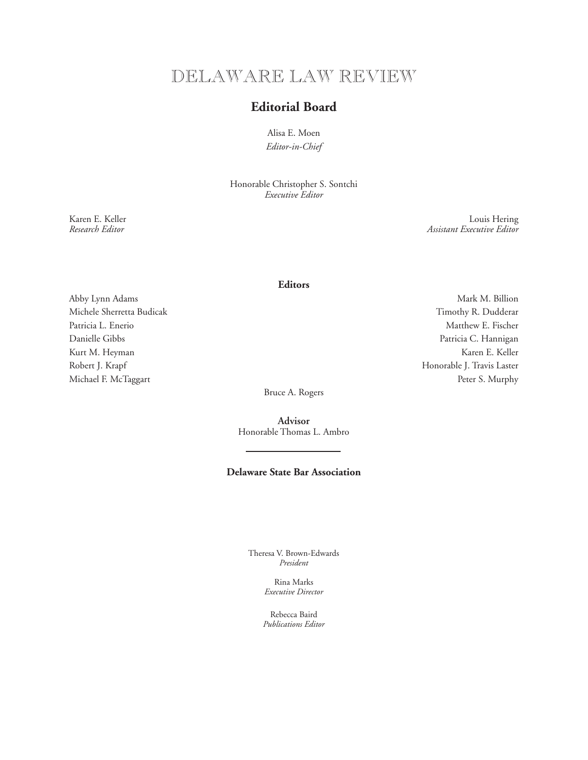# DELAWARE LAW REVIEW

# **Editorial Board**

Alisa E. Moen *Editor-in-Chief*

Honorable Christopher S. Sontchi *Executive Editor*

Karen E. Keller Louis Hering<br>Research Editor Louis Hering<br>Assistant Executive Editor *Research Editor Assistant Executive Editor*

# **Editors**

Abby Lynn Adams Mark M. Billion Mark M. Billion Michele Sherretta Budicak Timothy R. Dudderar Patricia L. Enerio and Matthew E. Fischer Matthew E. Fischer Danielle Gibbs Patricia C. Hannigan Kurt M. Heyman Karen E. Keller Robert J. Krapf Honorable J. Travis Laster

Michael F. McTaggart Peter S. Murphy

Bruce A. Rogers

**Advisor** Honorable Thomas L. Ambro

# **Delaware State Bar Association**

Theresa V. Brown-Edwards *President*

> Rina Marks *Executive Director*

Rebecca Baird *Publications Editor*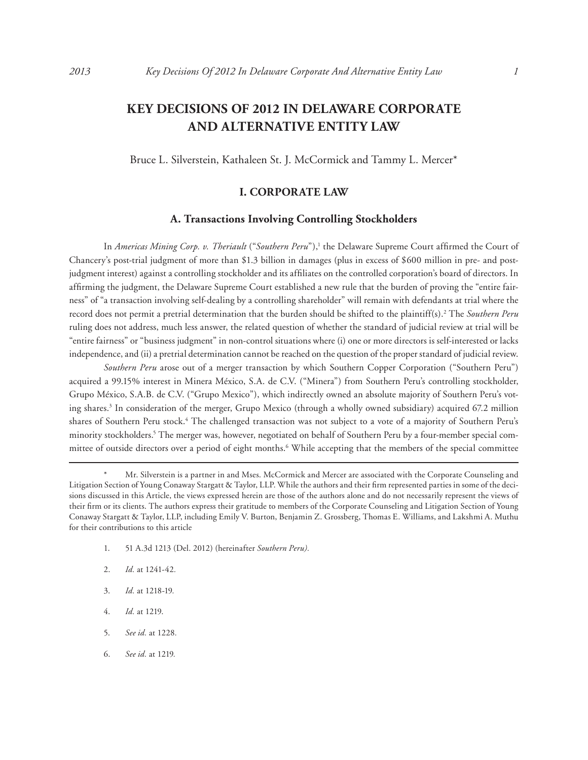# **KEY DECISIONS OF 2012 IN DELAWARE CORPORATE AND ALTERNATIVE ENTITY LAW**

Bruce L. Silverstein, Kathaleen St. J. McCormick and Tammy L. Mercer\*

# **I. CORPORATE LAW**

# **A. Transactions Involving Controlling Stockholders**

In *Americas Mining Corp. v. Theriault* ("*Southern Peru*"),<sup>1</sup> the Delaware Supreme Court affirmed the Court of Chancery's post-trial judgment of more than \$1.3 billion in damages (plus in excess of \$600 million in pre- and postjudgment interest) against a controlling stockholder and its affiliates on the controlled corporation's board of directors. In affirming the judgment, the Delaware Supreme Court established a new rule that the burden of proving the "entire fairness" of "a transaction involving self-dealing by a controlling shareholder" will remain with defendants at trial where the record does not permit a pretrial determination that the burden should be shifted to the plaintiff(s).2 The *Southern Peru* ruling does not address, much less answer, the related question of whether the standard of judicial review at trial will be "entire fairness" or "business judgment" in non-control situations where (i) one or more directors is self-interested or lacks independence, and (ii) a pretrial determination cannot be reached on the question of the proper standard of judicial review.

*Southern Peru* arose out of a merger transaction by which Southern Copper Corporation ("Southern Peru") acquired a 99.15% interest in Minera México, S.A. de C.V. ("Minera") from Southern Peru's controlling stockholder, Grupo México, S.A.B. de C.V. ("Grupo Mexico"), which indirectly owned an absolute majority of Southern Peru's voting shares.3 In consideration of the merger, Grupo Mexico (through a wholly owned subsidiary) acquired 67.2 million shares of Southern Peru stock.<sup>4</sup> The challenged transaction was not subject to a vote of a majority of Southern Peru's minority stockholders.5 The merger was, however, negotiated on behalf of Southern Peru by a four-member special committee of outside directors over a period of eight months.<sup>6</sup> While accepting that the members of the special committee

- 1. 51 A.3d 1213 (Del. 2012) (hereinafter *Southern Peru).*
- 2. *Id.* at 1241-42*.*
- 3. *Id.* at 1218-19*.*
- 4. *Id.* at 1219.
- 5. *See id.* at 1228*.*
- 6. *See id.* at 1219*.*

Mr. Silverstein is a partner in and Mses. McCormick and Mercer are associated with the Corporate Counseling and Litigation Section of Young Conaway Stargatt & Taylor, LLP. While the authors and their firm represented parties in some of the decisions discussed in this Article, the views expressed herein are those of the authors alone and do not necessarily represent the views of their firm or its clients. The authors express their gratitude to members of the Corporate Counseling and Litigation Section of Young Conaway Stargatt & Taylor, LLP, including Emily V. Burton, Benjamin Z. Grossberg, Thomas E. Williams, and Lakshmi A. Muthu for their contributions to this article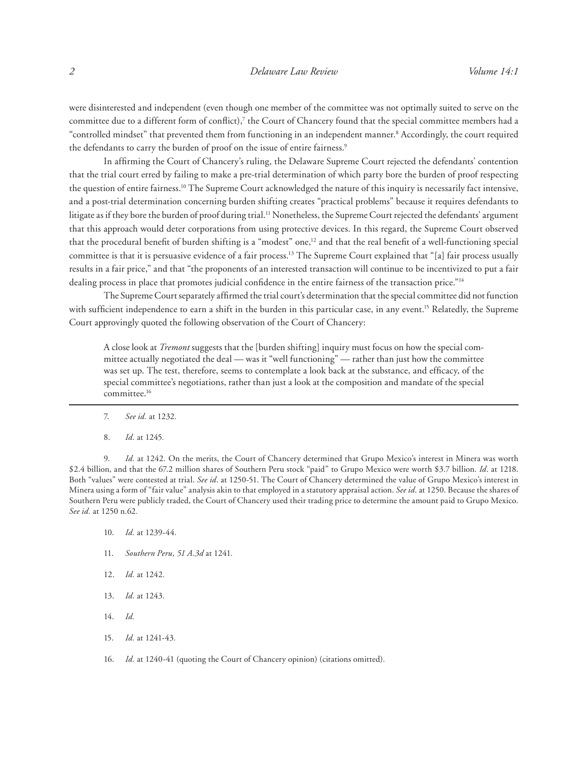were disinterested and independent (even though one member of the committee was not optimally suited to serve on the committee due to a different form of conflict),<sup>7</sup> the Court of Chancery found that the special committee members had a "controlled mindset" that prevented them from functioning in an independent manner.<sup>8</sup> Accordingly, the court required the defendants to carry the burden of proof on the issue of entire fairness.<sup>9</sup>

In affirming the Court of Chancery's ruling, the Delaware Supreme Court rejected the defendants' contention that the trial court erred by failing to make a pre-trial determination of which party bore the burden of proof respecting the question of entire fairness.10 The Supreme Court acknowledged the nature of this inquiry is necessarily fact intensive, and a post-trial determination concerning burden shifting creates "practical problems" because it requires defendants to litigate as if they bore the burden of proof during trial.<sup>11</sup> Nonetheless, the Supreme Court rejected the defendants' argument that this approach would deter corporations from using protective devices. In this regard, the Supreme Court observed that the procedural benefit of burden shifting is a "modest" one,<sup>12</sup> and that the real benefit of a well-functioning special committee is that it is persuasive evidence of a fair process.13 The Supreme Court explained that "[a] fair process usually results in a fair price," and that "the proponents of an interested transaction will continue to be incentivized to put a fair dealing process in place that promotes judicial confidence in the entire fairness of the transaction price."14

The Supreme Court separately affirmed the trial court's determination that the special committee did not function with sufficient independence to earn a shift in the burden in this particular case, in any event.<sup>15</sup> Relatedly, the Supreme Court approvingly quoted the following observation of the Court of Chancery:

A close look at *Tremont* suggests that the [burden shifting] inquiry must focus on how the special committee actually negotiated the deal — was it "well functioning" — rather than just how the committee was set up. The test, therefore, seems to contemplate a look back at the substance, and efficacy, of the special committee's negotiations, rather than just a look at the composition and mandate of the special committee.16

- 7. *See id.* at 1232*.*
- 8. *Id.* at 1245*.*

9. *Id.* at 1242*.* On the merits, the Court of Chancery determined that Grupo Mexico's interest in Minera was worth \$2.4 billion, and that the 67.2 million shares of Southern Peru stock "paid" to Grupo Mexico were worth \$3.7 billion. *Id*. at 1218. Both "values" were contested at trial. *See id*. at 1250-51. The Court of Chancery determined the value of Grupo Mexico's interest in Minera using a form of "fair value" analysis akin to that employed in a statutory appraisal action. *See id*. at 1250. Because the shares of Southern Peru were publicly traded, the Court of Chancery used their trading price to determine the amount paid to Grupo Mexico. *See id.* at 1250 n.62*.*

- 10. *Id.* at 1239-44*.*
- 11. *Southern Peru, 51 A.3d* at 1241*.*
- 12. *Id.* at 1242*.*
- 13. *Id.* at 1243*.*
- 14. *Id.*
- 15. *Id.* at 1241-43*.*
- 16. *Id.* at 1240-41 (quoting the Court of Chancery opinion) (citations omitted)*.*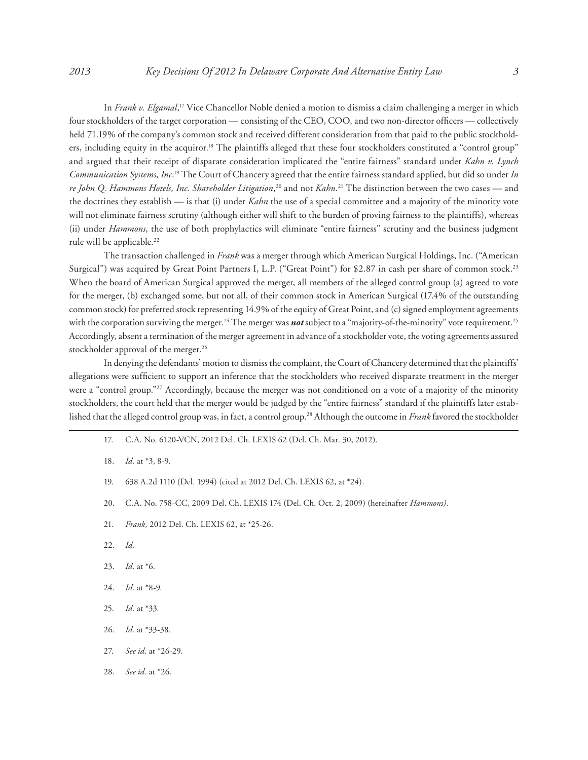In *Frank v. Elgamal*, 17 Vice Chancellor Noble denied a motion to dismiss a claim challenging a merger in which four stockholders of the target corporation — consisting of the CEO, COO, and two non-director officers — collectively held 71.19% of the company's common stock and received different consideration from that paid to the public stockholders, including equity in the acquiror.18 The plaintiffs alleged that these four stockholders constituted a "control group" and argued that their receipt of disparate consideration implicated the "entire fairness" standard under *Kahn v. Lynch Communication Systems, Inc*. 19 The Court of Chancery agreed that the entire fairness standard applied, but did so under *In re John Q. Hammons Hotels, Inc. Shareholder Litigation*, 20 and not *Kahn*. 21 The distinction between the two cases — and the doctrines they establish — is that (i) under *Kahn* the use of a special committee and a majority of the minority vote will not eliminate fairness scrutiny (although either will shift to the burden of proving fairness to the plaintiffs), whereas (ii) under *Hammons*, the use of both prophylactics will eliminate "entire fairness" scrutiny and the business judgment rule will be applicable.<sup>22</sup>

The transaction challenged in *Frank* was a merger through which American Surgical Holdings, Inc. ("American Surgical") was acquired by Great Point Partners I, L.P. ("Great Point") for \$2.87 in cash per share of common stock.<sup>23</sup> When the board of American Surgical approved the merger, all members of the alleged control group (a) agreed to vote for the merger, (b) exchanged some, but not all, of their common stock in American Surgical (17.4% of the outstanding common stock) for preferred stock representing 14.9% of the equity of Great Point, and (c) signed employment agreements with the corporation surviving the merger.<sup>24</sup> The merger was **not** subject to a "majority-of-the-minority" vote requirement.<sup>25</sup> Accordingly, absent a termination of the merger agreement in advance of a stockholder vote, the voting agreements assured stockholder approval of the merger.<sup>26</sup>

In denying the defendants' motion to dismiss the complaint, the Court of Chancery determined that the plaintiffs' allegations were sufficient to support an inference that the stockholders who received disparate treatment in the merger were a "control group."<sup>27</sup> Accordingly, because the merger was not conditioned on a vote of a majority of the minority stockholders, the court held that the merger would be judged by the "entire fairness" standard if the plaintiffs later established that the alleged control group was, in fact, a control group.28 Although the outcome in *Frank* favored the stockholder

- 17. C.A. No. 6120-VCN, 2012 Del. Ch. LEXIS 62 (Del. Ch. Mar. 30, 2012).
- 18. *Id.* at \*3, 8-9.
- 19. 638 A.2d 1110 (Del. 1994) (cited at 2012 Del. Ch. LEXIS 62, at \*24).
- 20. C.A. No. 758-CC, 2009 Del. Ch. LEXIS 174 (Del. Ch. Oct. 2, 2009) (hereinafter *Hammons).*
- 21. *Frank,* 2012 Del. Ch. LEXIS 62, at \*25-26.
- 22. *Id.*
- 23. *Id.* at \*6*.*
- 24. *Id.* at \*8-9*.*
- 25. *Id.* at \*33*.*
- 26. *Id.* at \*33-38*.*
- 27. *See id.* at \*26-29*.*
- 28. *See id.* at \*26*.*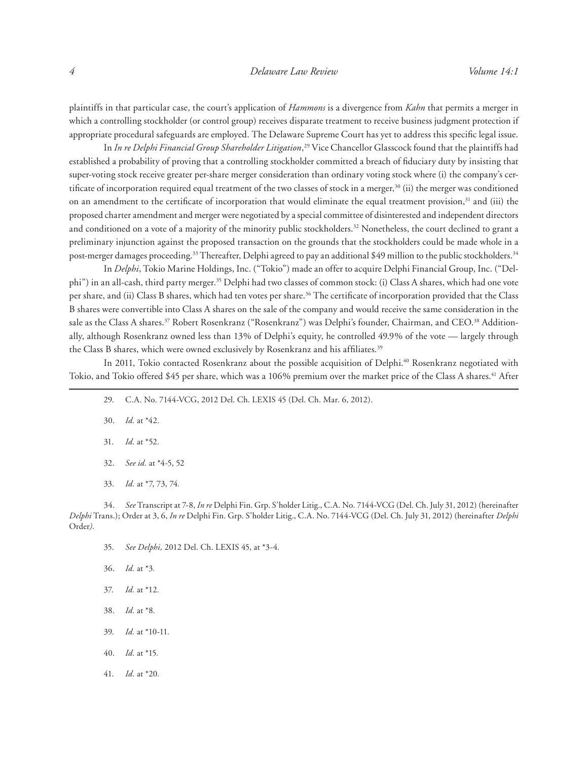plaintiffs in that particular case, the court's application of *Hammons* is a divergence from *Kahn* that permits a merger in which a controlling stockholder (or control group) receives disparate treatment to receive business judgment protection if appropriate procedural safeguards are employed. The Delaware Supreme Court has yet to address this specific legal issue.

In *In re Delphi Financial Group Shareholder Litigation*, 29 Vice Chancellor Glasscock found that the plaintiffs had established a probability of proving that a controlling stockholder committed a breach of fiduciary duty by insisting that super-voting stock receive greater per-share merger consideration than ordinary voting stock where (i) the company's certificate of incorporation required equal treatment of the two classes of stock in a merger,<sup>30</sup> (ii) the merger was conditioned on an amendment to the certificate of incorporation that would eliminate the equal treatment provision,<sup>31</sup> and (iii) the proposed charter amendment and merger were negotiated by a special committee of disinterested and independent directors and conditioned on a vote of a majority of the minority public stockholders.32 Nonetheless, the court declined to grant a preliminary injunction against the proposed transaction on the grounds that the stockholders could be made whole in a post-merger damages proceeding.<sup>33</sup> Thereafter, Delphi agreed to pay an additional \$49 million to the public stockholders.<sup>34</sup>

In *Delphi*, Tokio Marine Holdings, Inc. ("Tokio") made an offer to acquire Delphi Financial Group, Inc. ("Delphi") in an all-cash, third party merger.35 Delphi had two classes of common stock: (i) Class A shares, which had one vote per share, and (ii) Class B shares, which had ten votes per share.<sup>36</sup> The certificate of incorporation provided that the Class B shares were convertible into Class A shares on the sale of the company and would receive the same consideration in the sale as the Class A shares.<sup>37</sup> Robert Rosenkranz ("Rosenkranz") was Delphi's founder, Chairman, and CEO.<sup>38</sup> Additionally, although Rosenkranz owned less than 13% of Delphi's equity, he controlled 49.9% of the vote — largely through the Class B shares, which were owned exclusively by Rosenkranz and his affiliates.<sup>39</sup>

In 2011, Tokio contacted Rosenkranz about the possible acquisition of Delphi.<sup>40</sup> Rosenkranz negotiated with Tokio, and Tokio offered \$45 per share, which was a 106% premium over the market price of the Class A shares.<sup>41</sup> After

- 29. C.A. No. 7144-VCG, 2012 Del. Ch. LEXIS 45 (Del. Ch. Mar. 6, 2012).
- 30. *Id.* at \*42*.*
- 31. *Id.* at \*52*.*
- 32. *See id.* at \*4-5, 52
- 33. *Id.* at \*7, 73, 74*.*

34. *See* Transcript at 7-8, *In re* Delphi Fin. Grp. S'holder Litig., C.A. No. 7144-VCG (Del. Ch. July 31, 2012) (hereinafter *Delphi* Trans.); Order at 3, 6, *In re* Delphi Fin. Grp. S'holder Litig., C.A. No. 7144-VCG (Del. Ch. July 31, 2012) (hereinafter *Delphi*  Order*).*

- 35. *See Delphi,* 2012 Del. Ch. LEXIS 45, at \*3-4*.*
- 36. *Id.* at \*3*.*
- 37. *Id.* at \*12*.*
- 38. *Id.* at \*8*.*
- 39. *Id.* at \*10-11*.*
- 40. *Id.* at \*15*.*
- 41. *Id.* at \*20*.*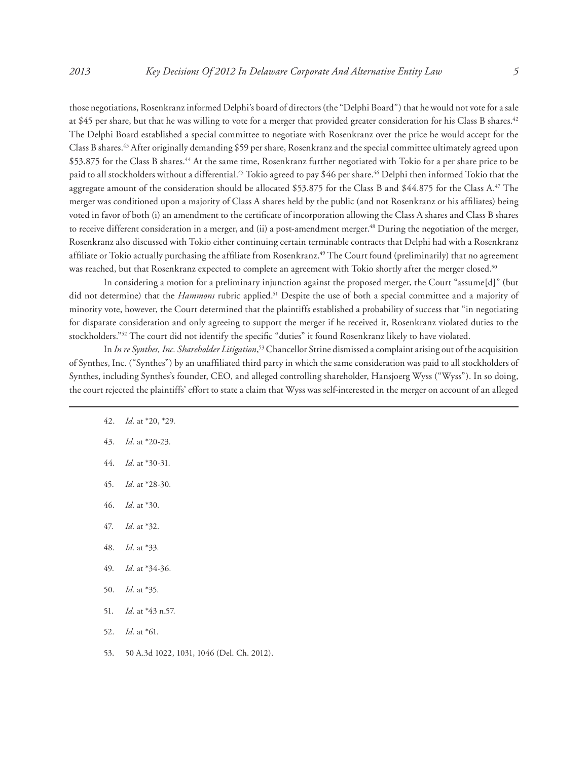those negotiations, Rosenkranz informed Delphi's board of directors (the "Delphi Board") that he would not vote for a sale at \$45 per share, but that he was willing to vote for a merger that provided greater consideration for his Class B shares.<sup>42</sup> The Delphi Board established a special committee to negotiate with Rosenkranz over the price he would accept for the Class B shares.43 After originally demanding \$59 per share, Rosenkranz and the special committee ultimately agreed upon \$53.875 for the Class B shares.<sup>44</sup> At the same time, Rosenkranz further negotiated with Tokio for a per share price to be paid to all stockholders without a differential.<sup>45</sup> Tokio agreed to pay \$46 per share.<sup>46</sup> Delphi then informed Tokio that the aggregate amount of the consideration should be allocated \$53.875 for the Class B and \$44.875 for the Class A.<sup>47</sup> The merger was conditioned upon a majority of Class A shares held by the public (and not Rosenkranz or his affiliates) being voted in favor of both (i) an amendment to the certificate of incorporation allowing the Class A shares and Class B shares to receive different consideration in a merger, and (ii) a post-amendment merger.<sup>48</sup> During the negotiation of the merger, Rosenkranz also discussed with Tokio either continuing certain terminable contracts that Delphi had with a Rosenkranz affiliate or Tokio actually purchasing the affiliate from Rosenkranz.<sup>49</sup> The Court found (preliminarily) that no agreement was reached, but that Rosenkranz expected to complete an agreement with Tokio shortly after the merger closed.<sup>50</sup>

In considering a motion for a preliminary injunction against the proposed merger, the Court "assume[d]" (but did not determine) that the *Hammons* rubric applied.51 Despite the use of both a special committee and a majority of minority vote, however, the Court determined that the plaintiffs established a probability of success that "in negotiating for disparate consideration and only agreeing to support the merger if he received it, Rosenkranz violated duties to the stockholders."52 The court did not identify the specific "duties" it found Rosenkranz likely to have violated.

In *In re Synthes, Inc. Shareholder Litigation*, 53 Chancellor Strine dismissed a complaint arising out of the acquisition of Synthes, Inc. ("Synthes") by an unaffiliated third party in which the same consideration was paid to all stockholders of Synthes, including Synthes's founder, CEO, and alleged controlling shareholder, Hansjoerg Wyss ("Wyss"). In so doing, the court rejected the plaintiffs' effort to state a claim that Wyss was self-interested in the merger on account of an alleged

- 42. *Id.* at \*20, \*29*.*
- 43. *Id.* at \*20-23*.*
- 44. *Id.* at \*30-31*.*
- 45. *Id.* at \*28-30*.*
- 46. *Id.* at \*30*.*
- 47. *Id.* at \*32*.*
- 48. *Id.* at \*33*.*
- 49. *Id.* at \*34-36*.*
- 50. *Id.* at \*35*.*
- 51. *Id.* at \*43 n.57*.*
- 52. *Id.* at \*61*.*
- 53. 50 A.3d 1022, 1031, 1046 (Del. Ch. 2012).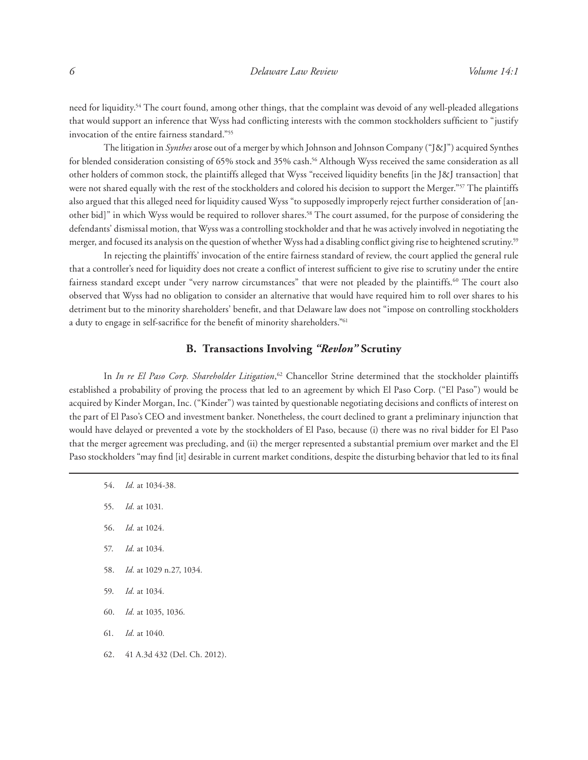need for liquidity.54 The court found, among other things, that the complaint was devoid of any well-pleaded allegations that would support an inference that Wyss had conflicting interests with the common stockholders sufficient to "justify invocation of the entire fairness standard."55

The litigation in *Synthes* arose out of a merger by which Johnson and Johnson Company ("J&J") acquired Synthes for blended consideration consisting of 65% stock and 35% cash.<sup>56</sup> Although Wyss received the same consideration as all other holders of common stock, the plaintiffs alleged that Wyss "received liquidity benefits [in the J&J transaction] that were not shared equally with the rest of the stockholders and colored his decision to support the Merger."<sup>57</sup> The plaintiffs also argued that this alleged need for liquidity caused Wyss "to supposedly improperly reject further consideration of [another bid]" in which Wyss would be required to rollover shares.58 The court assumed, for the purpose of considering the defendants' dismissal motion, that Wyss was a controlling stockholder and that he was actively involved in negotiating the merger, and focused its analysis on the question of whether Wyss had a disabling conflict giving rise to heightened scrutiny.59

In rejecting the plaintiffs' invocation of the entire fairness standard of review, the court applied the general rule that a controller's need for liquidity does not create a conflict of interest sufficient to give rise to scrutiny under the entire fairness standard except under "very narrow circumstances" that were not pleaded by the plaintiffs.<sup>60</sup> The court also observed that Wyss had no obligation to consider an alternative that would have required him to roll over shares to his detriment but to the minority shareholders' benefit, and that Delaware law does not "impose on controlling stockholders a duty to engage in self-sacrifice for the benefit of minority shareholders."<sup>61</sup>

# **B. Transactions Involving** *"Revlon"* **Scrutiny**

In *In re El Paso Corp. Shareholder Litigation*,<sup>62</sup> Chancellor Strine determined that the stockholder plaintiffs established a probability of proving the process that led to an agreement by which El Paso Corp. ("El Paso") would be acquired by Kinder Morgan, Inc. ("Kinder") was tainted by questionable negotiating decisions and conflicts of interest on the part of El Paso's CEO and investment banker. Nonetheless, the court declined to grant a preliminary injunction that would have delayed or prevented a vote by the stockholders of El Paso, because (i) there was no rival bidder for El Paso that the merger agreement was precluding, and (ii) the merger represented a substantial premium over market and the El Paso stockholders "may find [it] desirable in current market conditions, despite the disturbing behavior that led to its final

- 54. *Id.* at 1034-38*.*
- 55. *Id.* at 1031*.*
- 56. *Id.* at 1024*.*
- 57. *Id.* at 1034*.*
- 58. *Id.* at 1029 n.27, 1034*.*
- 59. *Id.* at 1034*.*
- 60. *Id.* at 1035, 1036*.*
- 61. *Id.* at 1040*.*
- 62. 41 A.3d 432 (Del. Ch. 2012).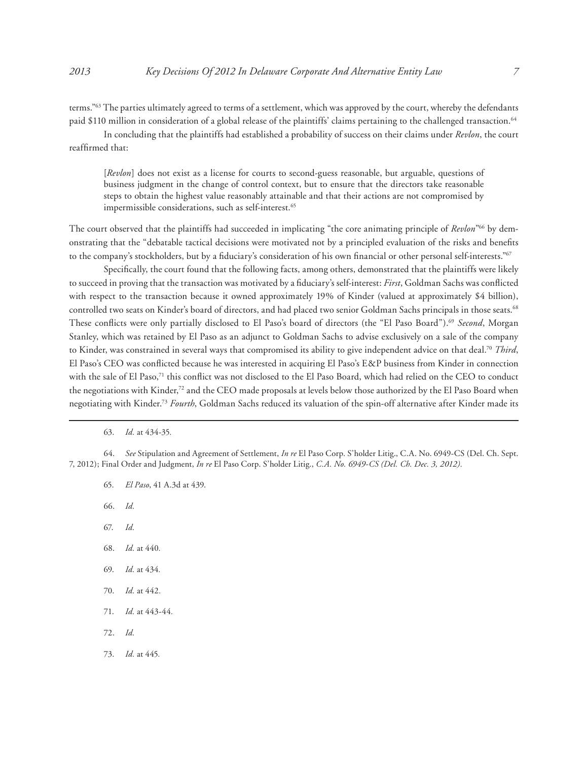terms."63 The parties ultimately agreed to terms of a settlement, which was approved by the court, whereby the defendants paid \$110 million in consideration of a global release of the plaintiffs' claims pertaining to the challenged transaction.<sup>64</sup>

In concluding that the plaintiffs had established a probability of success on their claims under *Revlon*, the court reaffirmed that:

[*Revlon*] does not exist as a license for courts to second-guess reasonable, but arguable, questions of business judgment in the change of control context, but to ensure that the directors take reasonable steps to obtain the highest value reasonably attainable and that their actions are not compromised by impermissible considerations, such as self-interest.<sup>65</sup>

The court observed that the plaintiffs had succeeded in implicating "the core animating principle of *Revlon*"66 by demonstrating that the "debatable tactical decisions were motivated not by a principled evaluation of the risks and benefits to the company's stockholders, but by a fiduciary's consideration of his own financial or other personal self-interests."<sup>67</sup>

Specifically, the court found that the following facts, among others, demonstrated that the plaintiffs were likely to succeed in proving that the transaction was motivated by a fiduciary's self-interest: *First*, Goldman Sachs was conflicted with respect to the transaction because it owned approximately 19% of Kinder (valued at approximately \$4 billion), controlled two seats on Kinder's board of directors, and had placed two senior Goldman Sachs principals in those seats.68 These conflicts were only partially disclosed to El Paso's board of directors (the "El Paso Board").69 *Second*, Morgan Stanley, which was retained by El Paso as an adjunct to Goldman Sachs to advise exclusively on a sale of the company to Kinder, was constrained in several ways that compromised its ability to give independent advice on that deal.70 *Third*, El Paso's CEO was conflicted because he was interested in acquiring El Paso's E&P business from Kinder in connection with the sale of El Paso,<sup>71</sup> this conflict was not disclosed to the El Paso Board, which had relied on the CEO to conduct the negotiations with Kinder,<sup>72</sup> and the CEO made proposals at levels below those authorized by the El Paso Board when negotiating with Kinder.73 *Fourth*, Goldman Sachs reduced its valuation of the spin-off alternative after Kinder made its

63. *Id.* at 434-35*.*

64. *See* Stipulation and Agreement of Settlement, *In re* El Paso Corp. S'holder Litig., C.A. No. 6949-CS (Del. Ch. Sept. 7, 2012); Final Order and Judgment, *In re* El Paso Corp. S'holder Litig., *C.A. No. 6949-CS (Del. Ch. Dec. 3, 2012).*

- 65. *El Paso*, 41 A.3d at 439.
- 66. *Id.*
- 67. *Id.*
- 68. *Id.* at 440*.*
- 69. *Id.* at 434*.*
- 70. *Id.* at 442*.*
- 71. *Id.* at 443-44*.*
- 72. *Id.*
- 73. *Id.* at 445*.*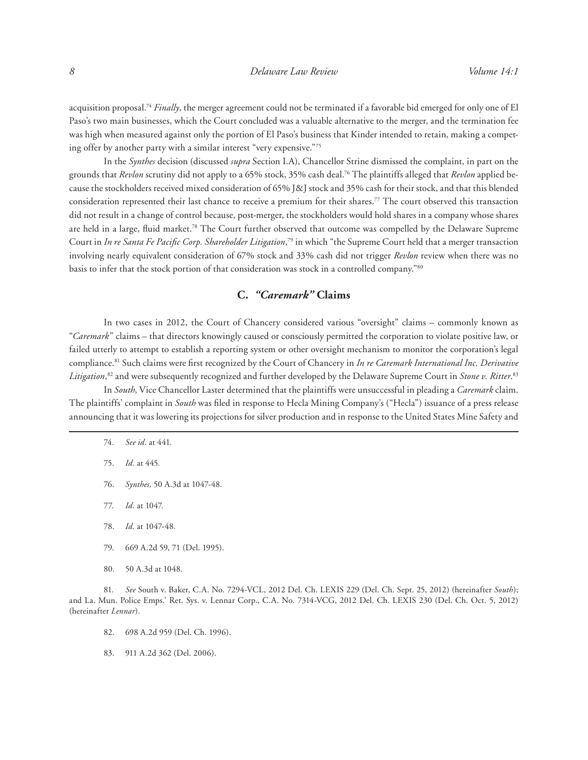acquisition proposal.74 *Finally*, the merger agreement could not be terminated if a favorable bid emerged for only one of El Paso's two main businesses, which the Court concluded was a valuable alternative to the merger, and the termination fee was high when measured against only the portion of El Paso's business that Kinder intended to retain, making a competing offer by another party with a similar interest "very expensive."75

In the *Synthes* decision (discussed *supra* Section I.A), Chancellor Strine dismissed the complaint, in part on the grounds that *Revlon* scrutiny did not apply to a 65% stock, 35% cash deal.76 The plaintiffs alleged that *Revlon* applied because the stockholders received mixed consideration of 65% J&J stock and 35% cash for their stock, and that this blended consideration represented their last chance to receive a premium for their shares.77 The court observed this transaction did not result in a change of control because, post-merger, the stockholders would hold shares in a company whose shares are held in a large, fluid market.78 The Court further observed that outcome was compelled by the Delaware Supreme Court in *In re Santa Fe Pacific Corp. Shareholder Litigation*, 79 in which "the Supreme Court held that a merger transaction involving nearly equivalent consideration of 67% stock and 33% cash did not trigger *Revlon* review when there was no basis to infer that the stock portion of that consideration was stock in a controlled company."80

# **C.** *"Caremark"* **Claims**

In two cases in 2012, the Court of Chancery considered various "oversight" claims – commonly known as "*Caremark*" claims – that directors knowingly caused or consciously permitted the corporation to violate positive law, or failed utterly to attempt to establish a reporting system or other oversight mechanism to monitor the corporation's legal compliance.81 Such claims were first recognized by the Court of Chancery in *In re Caremark International Inc. Derivative Litigation*, 82 and were subsequently recognized and further developed by the Delaware Supreme Court in *Stone v. Ritter*. 83

In *South*, Vice Chancellor Laster determined that the plaintiffs were unsuccessful in pleading a *Caremark* claim. The plaintiffs' complaint in *South* was filed in response to Hecla Mining Company's ("Hecla") issuance of a press release announcing that it was lowering its projections for silver production and in response to the United States Mine Safety and

- 76. *Synthes,* 50 A.3d at 1047-48*.*
- 77. *Id.* at 1047*.*
- 78. *Id.* at 1047-48*.*
- 79. 669 A.2d 59, 71 (Del. 1995).
- 80. 50 A.3d at 1048.

- 82. 698 A.2d 959 (Del. Ch. 1996).
- 83. 911 A.2d 362 (Del. 2006).

<sup>74.</sup> *See id*. at 441*.*

<sup>75.</sup> *Id.* at 445*.*

<sup>81.</sup> *See* South v. Baker, C.A. No. 7294-VCL, 2012 Del. Ch. LEXIS 229 (Del. Ch. Sept. 25, 2012) (hereinafter *South*); and La. Mun. Police Emps.' Ret. Sys. v. Lennar Corp., C.A. No. 7314-VCG, 2012 Del. Ch. LEXIS 230 (Del. Ch. Oct. 5, 2012) (hereinafter *Lennar*).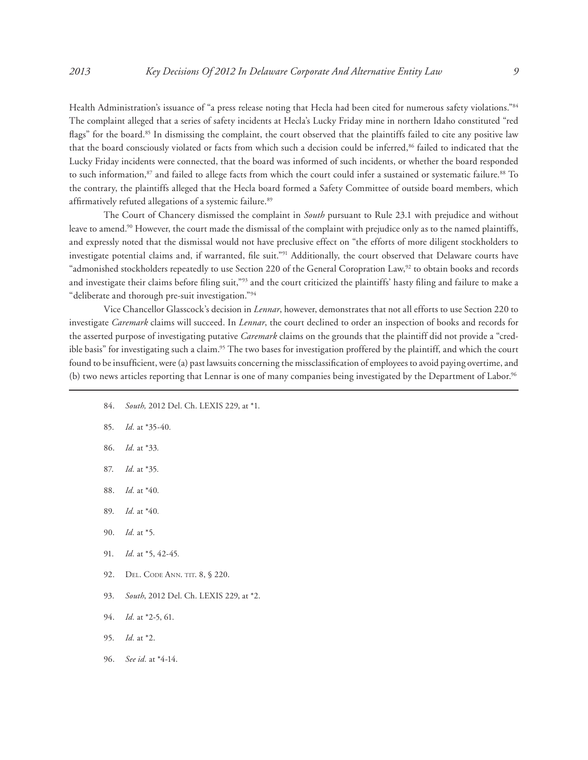Health Administration's issuance of "a press release noting that Hecla had been cited for numerous safety violations."84 The complaint alleged that a series of safety incidents at Hecla's Lucky Friday mine in northern Idaho constituted "red flags" for the board.<sup>85</sup> In dismissing the complaint, the court observed that the plaintiffs failed to cite any positive law that the board consciously violated or facts from which such a decision could be inferred,<sup>86</sup> failed to indicated that the Lucky Friday incidents were connected, that the board was informed of such incidents, or whether the board responded to such information,<sup>87</sup> and failed to allege facts from which the court could infer a sustained or systematic failure.<sup>88</sup> To the contrary, the plaintiffs alleged that the Hecla board formed a Safety Committee of outside board members, which affirmatively refuted allegations of a systemic failure.<sup>89</sup>

The Court of Chancery dismissed the complaint in *South* pursuant to Rule 23.1 with prejudice and without leave to amend.90 However, the court made the dismissal of the complaint with prejudice only as to the named plaintiffs, and expressly noted that the dismissal would not have preclusive effect on "the efforts of more diligent stockholders to investigate potential claims and, if warranted, file suit."91 Additionally, the court observed that Delaware courts have "admonished stockholders repeatedly to use Section 220 of the General Coropration Law,<sup>92</sup> to obtain books and records and investigate their claims before filing suit,"93 and the court criticized the plaintiffs' hasty filing and failure to make a "deliberate and thorough pre-suit investigation."94

Vice Chancellor Glasscock's decision in *Lennar*, however, demonstrates that not all efforts to use Section 220 to investigate *Caremark* claims will succeed. In *Lennar*, the court declined to order an inspection of books and records for the asserted purpose of investigating putative *Caremark* claims on the grounds that the plaintiff did not provide a "credible basis" for investigating such a claim.<sup>95</sup> The two bases for investigation proffered by the plaintiff, and which the court found to be insufficient, were (a) past lawsuits concerning the missclassification of employees to avoid paying overtime, and (b) two news articles reporting that Lennar is one of many companies being investigated by the Department of Labor.96

- 84. *South,* 2012 Del. Ch. LEXIS 229, at \*1.
- 85. *Id.* at \*35-40*.*
- 86. *Id.* at \*33*.*
- 87. *Id.* at \*35*.*
- 88. *Id.* at \*40*.*
- 89. *Id.* at \*40*.*
- 90. *Id.* at \*5*.*
- 91. *Id.* at \*5, 42-45*.*
- 92. DEL. CODE ANN. TIT. 8, § 220.
- 93. *South*, 2012 Del. Ch. LEXIS 229, at \*2.
- 94. *Id.* at \*2-5, 61.
- 95. *Id.* at \*2.
- 96. *See id.* at \*4-14.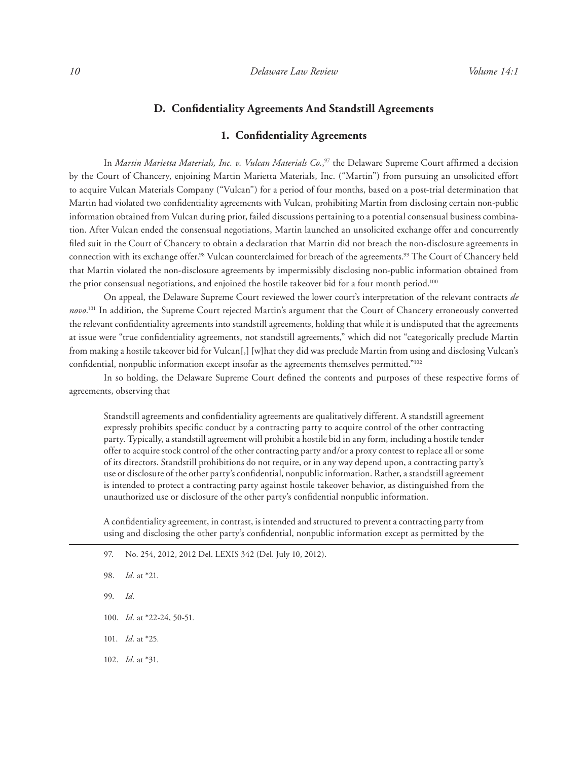### **D. Confidentiality Agreements And Standstill Agreements**

### **1. Confidentiality Agreements**

In *Martin Marietta Materials, Inc. v. Vulcan Materials Co.*, 97 the Delaware Supreme Court affirmed a decision by the Court of Chancery, enjoining Martin Marietta Materials, Inc. ("Martin") from pursuing an unsolicited effort to acquire Vulcan Materials Company ("Vulcan") for a period of four months, based on a post-trial determination that Martin had violated two confidentiality agreements with Vulcan, prohibiting Martin from disclosing certain non-public information obtained from Vulcan during prior, failed discussions pertaining to a potential consensual business combination. After Vulcan ended the consensual negotiations, Martin launched an unsolicited exchange offer and concurrently filed suit in the Court of Chancery to obtain a declaration that Martin did not breach the non-disclosure agreements in connection with its exchange offer.98 Vulcan counterclaimed for breach of the agreements.99 The Court of Chancery held that Martin violated the non-disclosure agreements by impermissibly disclosing non-public information obtained from the prior consensual negotiations, and enjoined the hostile takeover bid for a four month period.<sup>100</sup>

On appeal, the Delaware Supreme Court reviewed the lower court's interpretation of the relevant contracts *de novo*. 101 In addition, the Supreme Court rejected Martin's argument that the Court of Chancery erroneously converted the relevant confidentiality agreements into standstill agreements, holding that while it is undisputed that the agreements at issue were "true confidentiality agreements, not standstill agreements," which did not "categorically preclude Martin from making a hostile takeover bid for Vulcan[,] [w]hat they did was preclude Martin from using and disclosing Vulcan's confidential, nonpublic information except insofar as the agreements themselves permitted."<sup>102</sup>

In so holding, the Delaware Supreme Court defined the contents and purposes of these respective forms of agreements, observing that

Standstill agreements and confidentiality agreements are qualitatively different. A standstill agreement expressly prohibits specific conduct by a contracting party to acquire control of the other contracting party. Typically, a standstill agreement will prohibit a hostile bid in any form, including a hostile tender offer to acquire stock control of the other contracting party and/or a proxy contest to replace all or some of its directors. Standstill prohibitions do not require, or in any way depend upon, a contracting party's use or disclosure of the other party's confidential, nonpublic information. Rather, a standstill agreement is intended to protect a contracting party against hostile takeover behavior, as distinguished from the unauthorized use or disclosure of the other party's confidential nonpublic information.

A confidentiality agreement, in contrast, is intended and structured to prevent a contracting party from using and disclosing the other party's confidential, nonpublic information except as permitted by the

97. No. 254, 2012, 2012 Del. LEXIS 342 (Del. July 10, 2012).

- 99. *Id.*
- 100. *Id.* at \*22-24, 50-51*.*
- 101. *Id.* at \*25*.*
- 102. *Id.* at \*31*.*

<sup>98.</sup> *Id.* at \*21*.*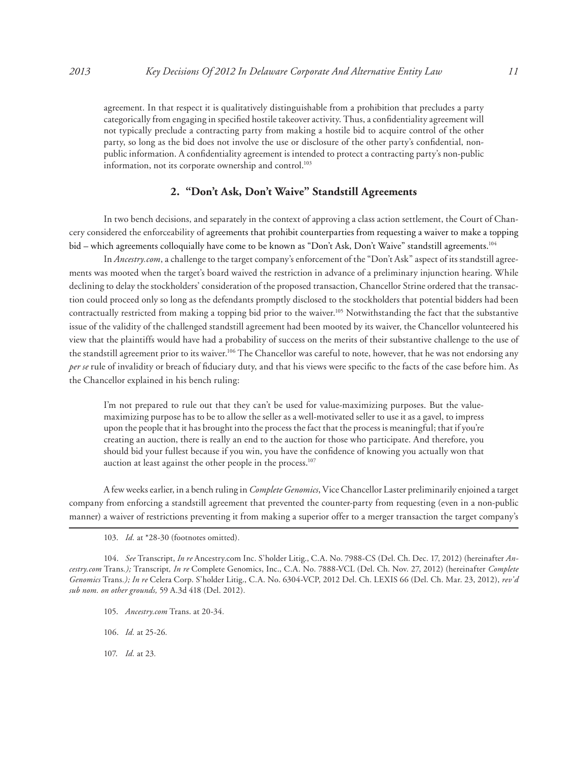agreement. In that respect it is qualitatively distinguishable from a prohibition that precludes a party categorically from engaging in specified hostile takeover activity. Thus, a confidentiality agreement will not typically preclude a contracting party from making a hostile bid to acquire control of the other party, so long as the bid does not involve the use or disclosure of the other party's confidential, nonpublic information. A confidentiality agreement is intended to protect a contracting party's non-public information, not its corporate ownership and control.<sup>103</sup>

# **2. "Don't Ask, Don't Waive" Standstill Agreements**

In two bench decisions, and separately in the context of approving a class action settlement, the Court of Chancery considered the enforceability of agreements that prohibit counterparties from requesting a waiver to make a topping bid – which agreements colloquially have come to be known as "Don't Ask, Don't Waive" standstill agreements.<sup>104</sup>

In *Ancestry.com*, a challenge to the target company's enforcement of the "Don't Ask" aspect of its standstill agreements was mooted when the target's board waived the restriction in advance of a preliminary injunction hearing. While declining to delay the stockholders' consideration of the proposed transaction, Chancellor Strine ordered that the transaction could proceed only so long as the defendants promptly disclosed to the stockholders that potential bidders had been contractually restricted from making a topping bid prior to the waiver.105 Notwithstanding the fact that the substantive issue of the validity of the challenged standstill agreement had been mooted by its waiver, the Chancellor volunteered his view that the plaintiffs would have had a probability of success on the merits of their substantive challenge to the use of the standstill agreement prior to its waiver.106 The Chancellor was careful to note, however, that he was not endorsing any *per se* rule of invalidity or breach of fiduciary duty, and that his views were specific to the facts of the case before him. As the Chancellor explained in his bench ruling:

I'm not prepared to rule out that they can't be used for value-maximizing purposes. But the valuemaximizing purpose has to be to allow the seller as a well-motivated seller to use it as a gavel, to impress upon the people that it has brought into the process the fact that the process is meaningful; that if you're creating an auction, there is really an end to the auction for those who participate. And therefore, you should bid your fullest because if you win, you have the confidence of knowing you actually won that auction at least against the other people in the process.<sup>107</sup>

A few weeks earlier, in a bench ruling in *Complete Genomics*, Vice Chancellor Laster preliminarily enjoined a target company from enforcing a standstill agreement that prevented the counter-party from requesting (even in a non-public manner) a waiver of restrictions preventing it from making a superior offer to a merger transaction the target company's

- 105. *Ancestry.com* Trans. at 20-34*.*
- 106. *Id.* at 25-26*.*
- 107. *Id.* at 23*.*

<sup>103.</sup> *Id.* at \*28-30 (footnotes omitted)*.*

<sup>104.</sup> *See* Transcript, *In re* Ancestry.com Inc. S'holder Litig., C.A. No. 7988-CS (Del. Ch. Dec. 17, 2012) (hereinafter *Ancestry.com* Trans*.);* Transcript*, In re* Complete Genomics, Inc., C.A. No. 7888-VCL (Del. Ch. Nov. 27, 2012) (hereinafter *Complete Genomics* Trans*.); In re* Celera Corp. S'holder Litig., C.A. No. 6304-VCP, 2012 Del. Ch. LEXIS 66 (Del. Ch. Mar. 23, 2012), *rev'd sub nom. on other grounds,* 59 A.3d 418 (Del. 2012)*.*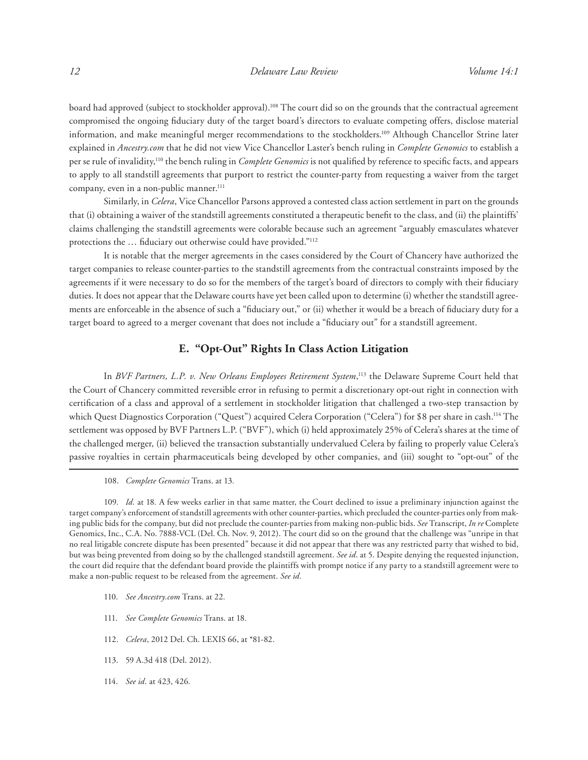board had approved (subject to stockholder approval).108 The court did so on the grounds that the contractual agreement compromised the ongoing fiduciary duty of the target board's directors to evaluate competing offers, disclose material information, and make meaningful merger recommendations to the stockholders.109 Although Chancellor Strine later explained in *Ancestry.com* that he did not view Vice Chancellor Laster's bench ruling in *Complete Genomics* to establish a per se rule of invalidity,110 the bench ruling in *Complete Genomics* is not qualified by reference to specific facts, and appears to apply to all standstill agreements that purport to restrict the counter-party from requesting a waiver from the target company, even in a non-public manner.<sup>111</sup>

Similarly, in *Celera*, Vice Chancellor Parsons approved a contested class action settlement in part on the grounds that (i) obtaining a waiver of the standstill agreements constituted a therapeutic benefit to the class, and (ii) the plaintiffs' claims challenging the standstill agreements were colorable because such an agreement "arguably emasculates whatever protections the … fiduciary out otherwise could have provided."112

It is notable that the merger agreements in the cases considered by the Court of Chancery have authorized the target companies to release counter-parties to the standstill agreements from the contractual constraints imposed by the agreements if it were necessary to do so for the members of the target's board of directors to comply with their fiduciary duties. It does not appear that the Delaware courts have yet been called upon to determine (i) whether the standstill agreements are enforceable in the absence of such a "fiduciary out," or (ii) whether it would be a breach of fiduciary duty for a target board to agreed to a merger covenant that does not include a "fiduciary out" for a standstill agreement.

# **E. "Opt-Out" Rights In Class Action Litigation**

In *BVF Partners, L.P. v. New Orleans Employees Retirement System*, <sup>113</sup> the Delaware Supreme Court held that the Court of Chancery committed reversible error in refusing to permit a discretionary opt-out right in connection with certification of a class and approval of a settlement in stockholder litigation that challenged a two-step transaction by which Quest Diagnostics Corporation ("Quest") acquired Celera Corporation ("Celera") for \$8 per share in cash.<sup>114</sup> The settlement was opposed by BVF Partners L.P. ("BVF"), which (i) held approximately 25% of Celera's shares at the time of the challenged merger, (ii) believed the transaction substantially undervalued Celera by failing to properly value Celera's passive royalties in certain pharmaceuticals being developed by other companies, and (iii) sought to "opt-out" of the

108. *Complete Genomics* Trans. at 13*.*

109. *Id.* at 18*.* A few weeks earlier in that same matter, the Court declined to issue a preliminary injunction against the target company's enforcement of standstill agreements with other counter-parties, which precluded the counter-parties only from making public bids for the company, but did not preclude the counter-parties from making non-public bids. *See* Transcript, *In re* Complete Genomics, Inc., C.A. No. 7888-VCL (Del. Ch. Nov. 9, 2012). The court did so on the ground that the challenge was "unripe in that no real litigable concrete dispute has been presented" because it did not appear that there was any restricted party that wished to bid, but was being prevented from doing so by the challenged standstill agreement. *See id*. at 5. Despite denying the requested injunction, the court did require that the defendant board provide the plaintiffs with prompt notice if any party to a standstill agreement were to make a non-public request to be released from the agreement. *See id.*

- 110. *See Ancestry.com* Trans. at 22*.*
- 111. *See Complete Genomics* Trans. at 18*.*
- 112. *Celera*, 2012 Del. Ch. LEXIS 66, at \*81-82.
- 113. 59 A.3d 418 (Del. 2012).
- 114. *See id.* at 423, 426*.*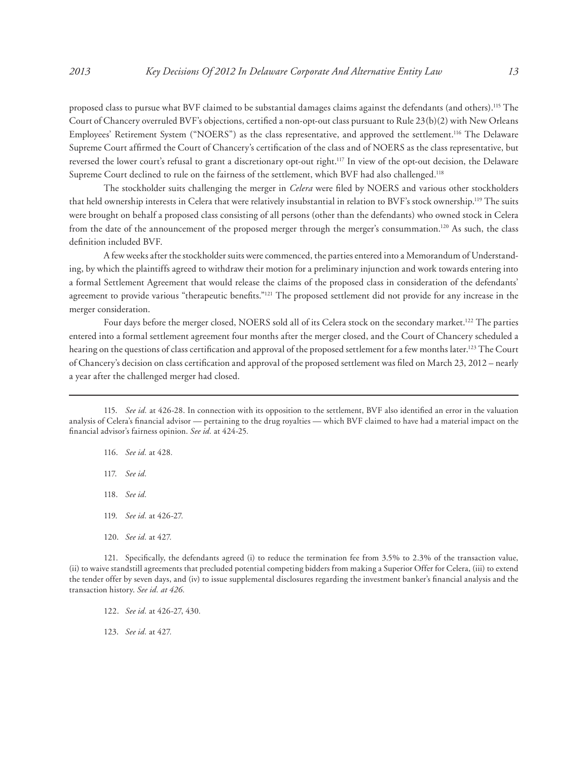proposed class to pursue what BVF claimed to be substantial damages claims against the defendants (and others).115 The Court of Chancery overruled BVF's objections, certified a non-opt-out class pursuant to Rule 23(b)(2) with New Orleans Employees' Retirement System ("NOERS") as the class representative, and approved the settlement.<sup>116</sup> The Delaware Supreme Court affirmed the Court of Chancery's certification of the class and of NOERS as the class representative, but reversed the lower court's refusal to grant a discretionary opt-out right.117 In view of the opt-out decision, the Delaware Supreme Court declined to rule on the fairness of the settlement, which BVF had also challenged.<sup>118</sup>

The stockholder suits challenging the merger in *Celera* were filed by NOERS and various other stockholders that held ownership interests in Celera that were relatively insubstantial in relation to BVF's stock ownership.119 The suits were brought on behalf a proposed class consisting of all persons (other than the defendants) who owned stock in Celera from the date of the announcement of the proposed merger through the merger's consummation.120 As such, the class definition included BVF.

A few weeks after the stockholder suits were commenced, the parties entered into a Memorandum of Understanding, by which the plaintiffs agreed to withdraw their motion for a preliminary injunction and work towards entering into a formal Settlement Agreement that would release the claims of the proposed class in consideration of the defendants' agreement to provide various "therapeutic benefits."121 The proposed settlement did not provide for any increase in the merger consideration.

Four days before the merger closed, NOERS sold all of its Celera stock on the secondary market.<sup>122</sup> The parties entered into a formal settlement agreement four months after the merger closed, and the Court of Chancery scheduled a hearing on the questions of class certification and approval of the proposed settlement for a few months later.123 The Court of Chancery's decision on class certification and approval of the proposed settlement was filed on March 23, 2012 – nearly a year after the challenged merger had closed.

- 116. *See id.* at 428*.*
- 117. *See id.*
- 118. *See id.*
- 119. *See id.* at 426-27*.*
- 120. *See id.* at 427*.*

121. Specifically, the defendants agreed (i) to reduce the termination fee from 3.5% to 2.3% of the transaction value, (ii) to waive standstill agreements that precluded potential competing bidders from making a Superior Offer for Celera, (iii) to extend the tender offer by seven days, and (iv) to issue supplemental disclosures regarding the investment banker's financial analysis and the transaction history. *See id. at 426.*

122. *See id.* at 426-27, 430*.*

123. *See id.* at 427*.*

<sup>115.</sup> *See id.* at 426-28. In connection with its opposition to the settlement, BVF also identified an error in the valuation analysis of Celera's financial advisor — pertaining to the drug royalties — which BVF claimed to have had a material impact on the financial advisor's fairness opinion. *See id.* at 424-25*.*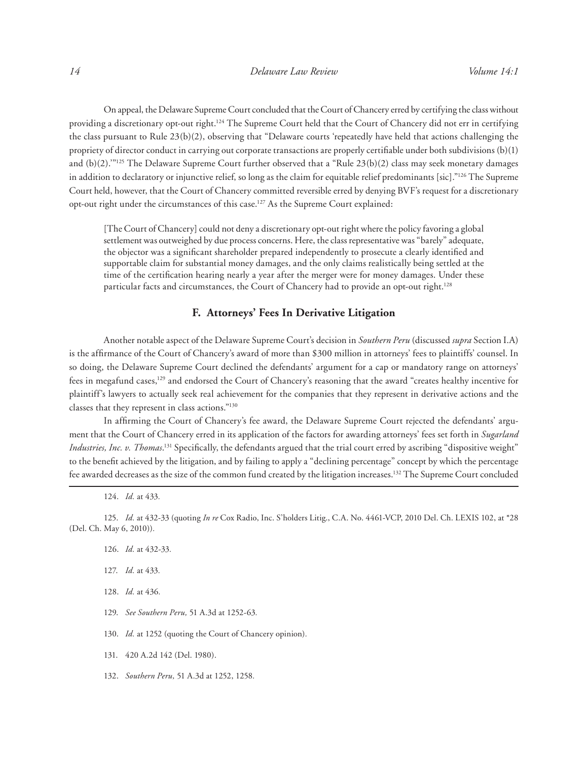On appeal, the Delaware Supreme Court concluded that the Court of Chancery erred by certifying the class without providing a discretionary opt-out right.<sup>124</sup> The Supreme Court held that the Court of Chancery did not err in certifying the class pursuant to Rule 23(b)(2), observing that "Delaware courts 'repeatedly have held that actions challenging the propriety of director conduct in carrying out corporate transactions are properly certifiable under both subdivisions (b)(1) and (b)(2).'"125 The Delaware Supreme Court further observed that a "Rule 23(b)(2) class may seek monetary damages in addition to declaratory or injunctive relief, so long as the claim for equitable relief predominants [sic]."126 The Supreme Court held, however, that the Court of Chancery committed reversible erred by denying BVF's request for a discretionary opt-out right under the circumstances of this case.127 As the Supreme Court explained:

[The Court of Chancery] could not deny a discretionary opt-out right where the policy favoring a global settlement was outweighed by due process concerns. Here, the class representative was "barely" adequate, the objector was a significant shareholder prepared independently to prosecute a clearly identified and supportable claim for substantial money damages, and the only claims realistically being settled at the time of the certification hearing nearly a year after the merger were for money damages. Under these particular facts and circumstances, the Court of Chancery had to provide an opt-out right.128

# **F. Attorneys' Fees In Derivative Litigation**

Another notable aspect of the Delaware Supreme Court's decision in *Southern Peru* (discussed *supra* Section I.A) is the affirmance of the Court of Chancery's award of more than \$300 million in attorneys' fees to plaintiffs' counsel. In so doing, the Delaware Supreme Court declined the defendants' argument for a cap or mandatory range on attorneys' fees in megafund cases,<sup>129</sup> and endorsed the Court of Chancery's reasoning that the award "creates healthy incentive for plaintiff's lawyers to actually seek real achievement for the companies that they represent in derivative actions and the classes that they represent in class actions."130

In affirming the Court of Chancery's fee award, the Delaware Supreme Court rejected the defendants' argument that the Court of Chancery erred in its application of the factors for awarding attorneys' fees set forth in *Sugarland Industries, Inc. v. Thomas*. 131 Specifically, the defendants argued that the trial court erred by ascribing "dispositive weight" to the benefit achieved by the litigation, and by failing to apply a "declining percentage" concept by which the percentage fee awarded decreases as the size of the common fund created by the litigation increases.132 The Supreme Court concluded

124. *Id.* at 433*.*

125. *Id.* at 432-33 (quoting *In re* Cox Radio, Inc. S'holders Litig., C.A. No. 4461-VCP, 2010 Del. Ch. LEXIS 102, at \*28 (Del. Ch. May 6, 2010))*.*

- 126. *Id.* at 432-33*.*
- 127. *Id.* at 433*.*
- 128. *Id.* at 436*.*
- 129. *See Southern Peru,* 51 A.3d at 1252-63*.*

130. *Id.* at 1252 (quoting the Court of Chancery opinion)*.*

- 131. 420 A.2d 142 (Del. 1980).
- 132. *Southern Peru,* 51 A.3d at 1252, 1258*.*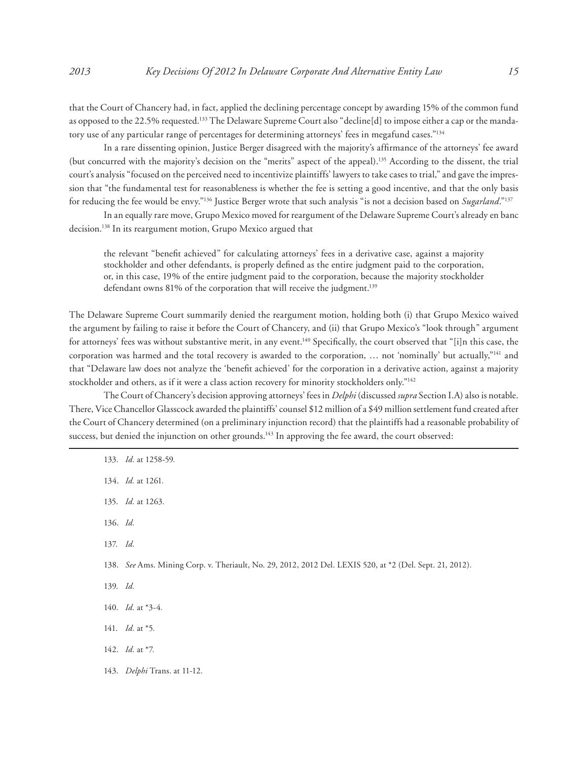that the Court of Chancery had, in fact, applied the declining percentage concept by awarding 15% of the common fund as opposed to the 22.5% requested.133 The Delaware Supreme Court also "decline[d] to impose either a cap or the mandatory use of any particular range of percentages for determining attorneys' fees in megafund cases."134

In a rare dissenting opinion, Justice Berger disagreed with the majority's affirmance of the attorneys' fee award (but concurred with the majority's decision on the "merits" aspect of the appeal).135 According to the dissent, the trial court's analysis "focused on the perceived need to incentivize plaintiffs' lawyers to take cases to trial," and gave the impression that "the fundamental test for reasonableness is whether the fee is setting a good incentive, and that the only basis for reducing the fee would be envy."136 Justice Berger wrote that such analysis "is not a decision based on *Sugarland*."137

In an equally rare move, Grupo Mexico moved for reargument of the Delaware Supreme Court's already en banc decision.138 In its reargument motion, Grupo Mexico argued that

the relevant "benefit achieved" for calculating attorneys' fees in a derivative case, against a majority stockholder and other defendants, is properly defined as the entire judgment paid to the corporation, or, in this case, 19% of the entire judgment paid to the corporation, because the majority stockholder defendant owns 81% of the corporation that will receive the judgment.<sup>139</sup>

The Delaware Supreme Court summarily denied the reargument motion, holding both (i) that Grupo Mexico waived the argument by failing to raise it before the Court of Chancery, and (ii) that Grupo Mexico's "look through" argument for attorneys' fees was without substantive merit, in any event.<sup>140</sup> Specifically, the court observed that "[i]n this case, the corporation was harmed and the total recovery is awarded to the corporation, ... not 'nominally' but actually,"<sup>141</sup> and that "Delaware law does not analyze the 'benefit achieved' for the corporation in a derivative action, against a majority stockholder and others, as if it were a class action recovery for minority stockholders only."142

The Court of Chancery's decision approving attorneys' fees in *Delphi* (discussed *supra* Section I.A) also is notable. There, Vice Chancellor Glasscock awarded the plaintiffs' counsel \$12 million of a \$49 million settlement fund created after the Court of Chancery determined (on a preliminary injunction record) that the plaintiffs had a reasonable probability of success, but denied the injunction on other grounds.<sup>143</sup> In approving the fee award, the court observed:

|          | 133. <i>Id.</i> at 1258-59.                                                                              |
|----------|----------------------------------------------------------------------------------------------------------|
|          | 134. <i>Id.</i> at 1261.                                                                                 |
|          | 135. <i>Id.</i> at 1263.                                                                                 |
| 136. Id. |                                                                                                          |
| 137. Id. |                                                                                                          |
|          | 138. See Ams. Mining Corp. v. Theriault, No. 29, 2012, 2012 Del. LEXIS 520, at *2 (Del. Sept. 21, 2012). |
| 139. Id. |                                                                                                          |
|          | 140. <i>Id.</i> at $*3-4$ .                                                                              |
|          | 141. <i>Id.</i> at *5.                                                                                   |
|          | 142. <i>Id.</i> at $*7$ .                                                                                |
|          | 143. Delphi Trans. at 11-12.                                                                             |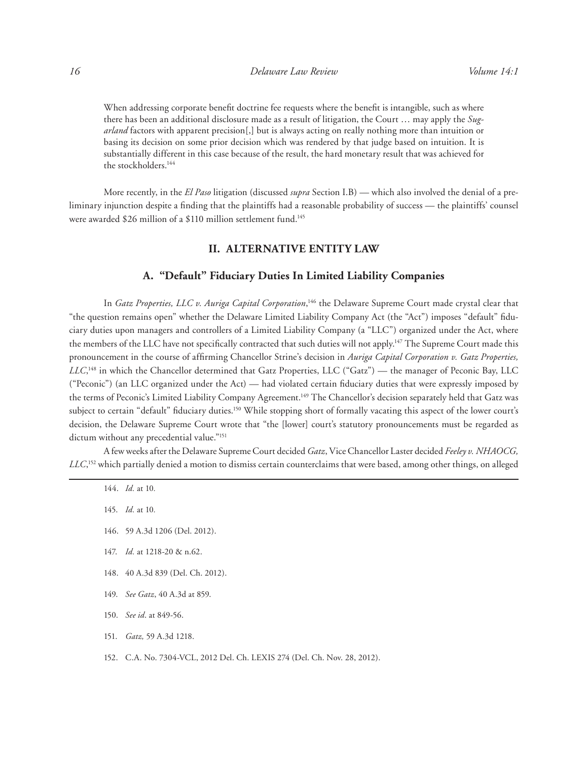When addressing corporate benefit doctrine fee requests where the benefit is intangible, such as where there has been an additional disclosure made as a result of litigation, the Court … may apply the *Sugarland* factors with apparent precision[,] but is always acting on really nothing more than intuition or basing its decision on some prior decision which was rendered by that judge based on intuition. It is substantially different in this case because of the result, the hard monetary result that was achieved for the stockholders.144

More recently, in the *El Paso* litigation (discussed *supra* Section I.B) — which also involved the denial of a preliminary injunction despite a finding that the plaintiffs had a reasonable probability of success — the plaintiffs' counsel were awarded \$26 million of a \$110 million settlement fund.145

# **II. ALTERNATIVE ENTITY LAW**

# **A. "Default" Fiduciary Duties In Limited Liability Companies**

In *Gatz Properties, LLC v. Auriga Capital Corporation*, 146 the Delaware Supreme Court made crystal clear that "the question remains open" whether the Delaware Limited Liability Company Act (the "Act") imposes "default" fiduciary duties upon managers and controllers of a Limited Liability Company (a "LLC") organized under the Act, where the members of the LLC have not specifically contracted that such duties will not apply.<sup>147</sup> The Supreme Court made this pronouncement in the course of affirming Chancellor Strine's decision in *Auriga Capital Corporation v. Gatz Properties, LLC*, 148 in which the Chancellor determined that Gatz Properties, LLC ("Gatz") — the manager of Peconic Bay, LLC ("Peconic") (an LLC organized under the Act) — had violated certain fiduciary duties that were expressly imposed by the terms of Peconic's Limited Liability Company Agreement.<sup>149</sup> The Chancellor's decision separately held that Gatz was subject to certain "default" fiduciary duties.<sup>150</sup> While stopping short of formally vacating this aspect of the lower court's decision, the Delaware Supreme Court wrote that "the [lower] court's statutory pronouncements must be regarded as dictum without any precedential value."<sup>151</sup>

A few weeks after the Delaware Supreme Court decided *Gatz*, Vice Chancellor Laster decided *Feeley v. NHAOCG, LLC*, 152 which partially denied a motion to dismiss certain counterclaims that were based, among other things, on alleged

- 144. *Id.* at 10*.*
- 145. *Id.* at 10*.*
- 146. 59 A.3d 1206 (Del. 2012).
- 147. *Id.* at 1218-20 & n.62.
- 148. 40 A.3d 839 (Del. Ch. 2012).
- 149. *See Gatz*, 40 A.3d at 859.
- 150. *See id*. at 849-56.
- 151. *Gatz,* 59 A.3d 1218.
- 152. C.A. No. 7304-VCL, 2012 Del. Ch. LEXIS 274 (Del. Ch. Nov. 28, 2012).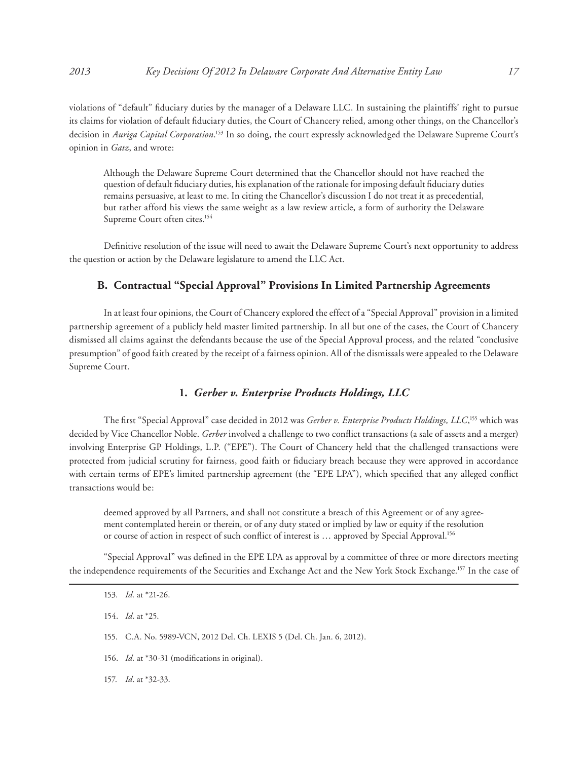violations of "default" fiduciary duties by the manager of a Delaware LLC. In sustaining the plaintiffs' right to pursue its claims for violation of default fiduciary duties, the Court of Chancery relied, among other things, on the Chancellor's decision in *Auriga Capital Corporation*. 153 In so doing, the court expressly acknowledged the Delaware Supreme Court's opinion in *Gatz*, and wrote:

Although the Delaware Supreme Court determined that the Chancellor should not have reached the question of default fiduciary duties, his explanation of the rationale for imposing default fiduciary duties remains persuasive, at least to me. In citing the Chancellor's discussion I do not treat it as precedential, but rather afford his views the same weight as a law review article, a form of authority the Delaware Supreme Court often cites.<sup>154</sup>

Definitive resolution of the issue will need to await the Delaware Supreme Court's next opportunity to address the question or action by the Delaware legislature to amend the LLC Act.

# **B. Contractual "Special Approval" Provisions In Limited Partnership Agreements**

In at least four opinions, the Court of Chancery explored the effect of a "Special Approval" provision in a limited partnership agreement of a publicly held master limited partnership. In all but one of the cases, the Court of Chancery dismissed all claims against the defendants because the use of the Special Approval process, and the related "conclusive presumption" of good faith created by the receipt of a fairness opinion. All of the dismissals were appealed to the Delaware Supreme Court.

# **1.** *Gerber v. Enterprise Products Holdings, LLC*

The first "Special Approval" case decided in 2012 was *Gerber v. Enterprise Products Holdings, LLC*, 155 which was decided by Vice Chancellor Noble. *Gerber* involved a challenge to two conflict transactions (a sale of assets and a merger) involving Enterprise GP Holdings, L.P. ("EPE"). The Court of Chancery held that the challenged transactions were protected from judicial scrutiny for fairness, good faith or fiduciary breach because they were approved in accordance with certain terms of EPE's limited partnership agreement (the "EPE LPA"), which specified that any alleged conflict transactions would be:

deemed approved by all Partners, and shall not constitute a breach of this Agreement or of any agreement contemplated herein or therein, or of any duty stated or implied by law or equity if the resolution or course of action in respect of such conflict of interest is … approved by Special Approval.156

"Special Approval" was defined in the EPE LPA as approval by a committee of three or more directors meeting the independence requirements of the Securities and Exchange Act and the New York Stock Exchange.157 In the case of

154. *Id*. at \*25.

- 155. C.A. No. 5989-VCN, 2012 Del. Ch. LEXIS 5 (Del. Ch. Jan. 6, 2012).
- 156. *Id.* at \*30-31 (modifications in original).
- 157. *Id*. at \*32-33.

<sup>153.</sup> *Id.* at \*21-26.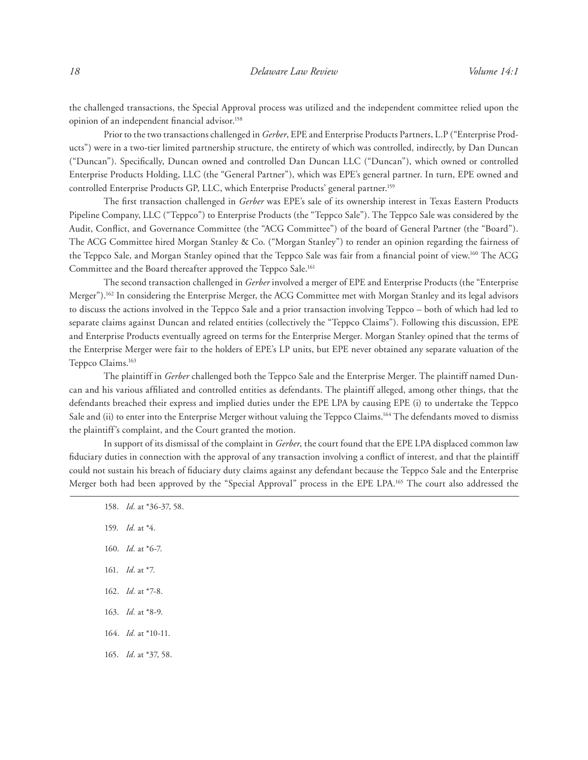the challenged transactions, the Special Approval process was utilized and the independent committee relied upon the opinion of an independent financial advisor.158

Prior to the two transactions challenged in *Gerber*, EPE and Enterprise Products Partners, L.P ("Enterprise Products") were in a two-tier limited partnership structure, the entirety of which was controlled, indirectly, by Dan Duncan ("Duncan"). Specifically, Duncan owned and controlled Dan Duncan LLC ("Duncan"), which owned or controlled Enterprise Products Holding, LLC (the "General Partner"), which was EPE's general partner. In turn, EPE owned and controlled Enterprise Products GP, LLC, which Enterprise Products' general partner.<sup>159</sup>

The first transaction challenged in *Gerber* was EPE's sale of its ownership interest in Texas Eastern Products Pipeline Company, LLC ("Teppco") to Enterprise Products (the "Teppco Sale"). The Teppco Sale was considered by the Audit, Conflict, and Governance Committee (the "ACG Committee") of the board of General Partner (the "Board"). The ACG Committee hired Morgan Stanley & Co. ("Morgan Stanley") to render an opinion regarding the fairness of the Teppco Sale, and Morgan Stanley opined that the Teppco Sale was fair from a financial point of view.<sup>160</sup> The ACG Committee and the Board thereafter approved the Teppco Sale.161

The second transaction challenged in *Gerber* involved a merger of EPE and Enterprise Products (the "Enterprise Merger").<sup>162</sup> In considering the Enterprise Merger, the ACG Committee met with Morgan Stanley and its legal advisors to discuss the actions involved in the Teppco Sale and a prior transaction involving Teppco – both of which had led to separate claims against Duncan and related entities (collectively the "Teppco Claims"). Following this discussion, EPE and Enterprise Products eventually agreed on terms for the Enterprise Merger. Morgan Stanley opined that the terms of the Enterprise Merger were fair to the holders of EPE's LP units, but EPE never obtained any separate valuation of the Teppco Claims.<sup>163</sup>

The plaintiff in *Gerber* challenged both the Teppco Sale and the Enterprise Merger. The plaintiff named Duncan and his various affiliated and controlled entities as defendants. The plaintiff alleged, among other things, that the defendants breached their express and implied duties under the EPE LPA by causing EPE (i) to undertake the Teppco Sale and (ii) to enter into the Enterprise Merger without valuing the Teppco Claims.<sup>164</sup> The defendants moved to dismiss the plaintiff's complaint, and the Court granted the motion.

In support of its dismissal of the complaint in *Gerber*, the court found that the EPE LPA displaced common law fiduciary duties in connection with the approval of any transaction involving a conflict of interest, and that the plaintiff could not sustain his breach of fiduciary duty claims against any defendant because the Teppco Sale and the Enterprise Merger both had been approved by the "Special Approval" process in the EPE LPA.165 The court also addressed the

158. *Id.* at \*36-37, 58. 159. *Id.* at \*4. 160. *Id.* at \*6-7. 161. *Id*. at \*7. 162. *Id.* at \*7-8. 163. *Id.* at \*8-9. 164. *Id.* at \*10-11. 165. *Id*. at \*37, 58.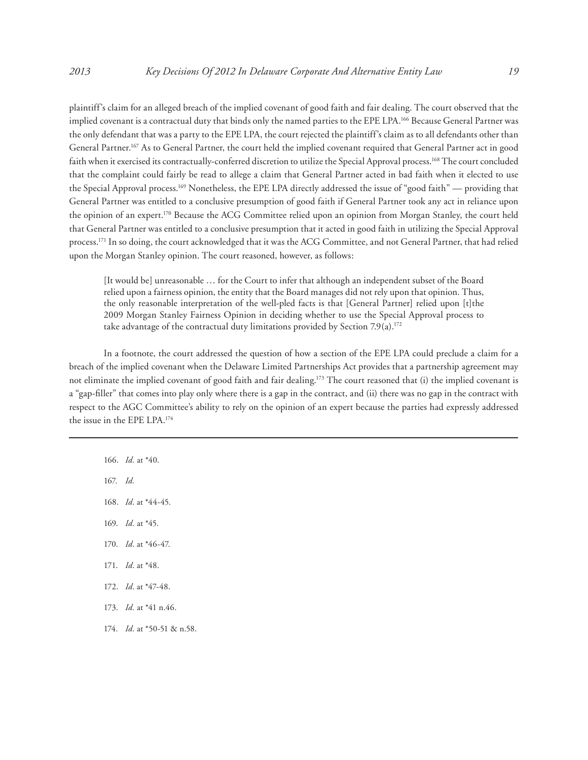plaintiff's claim for an alleged breach of the implied covenant of good faith and fair dealing. The court observed that the implied covenant is a contractual duty that binds only the named parties to the EPE LPA.166 Because General Partner was the only defendant that was a party to the EPE LPA, the court rejected the plaintiff's claim as to all defendants other than General Partner.167 As to General Partner, the court held the implied covenant required that General Partner act in good faith when it exercised its contractually-conferred discretion to utilize the Special Approval process.<sup>168</sup> The court concluded that the complaint could fairly be read to allege a claim that General Partner acted in bad faith when it elected to use the Special Approval process.<sup>169</sup> Nonetheless, the EPE LPA directly addressed the issue of "good faith" — providing that General Partner was entitled to a conclusive presumption of good faith if General Partner took any act in reliance upon the opinion of an expert.<sup>170</sup> Because the ACG Committee relied upon an opinion from Morgan Stanley, the court held that General Partner was entitled to a conclusive presumption that it acted in good faith in utilizing the Special Approval process.171 In so doing, the court acknowledged that it was the ACG Committee, and not General Partner, that had relied upon the Morgan Stanley opinion. The court reasoned, however, as follows:

[It would be] unreasonable … for the Court to infer that although an independent subset of the Board relied upon a fairness opinion, the entity that the Board manages did not rely upon that opinion. Thus, the only reasonable interpretation of the well-pled facts is that [General Partner] relied upon [t]the 2009 Morgan Stanley Fairness Opinion in deciding whether to use the Special Approval process to take advantage of the contractual duty limitations provided by Section  $7.9(a)$ .<sup>172</sup>

In a footnote, the court addressed the question of how a section of the EPE LPA could preclude a claim for a breach of the implied covenant when the Delaware Limited Partnerships Act provides that a partnership agreement may not eliminate the implied covenant of good faith and fair dealing.173 The court reasoned that (i) the implied covenant is a "gap-filler" that comes into play only where there is a gap in the contract, and (ii) there was no gap in the contract with respect to the AGC Committee's ability to rely on the opinion of an expert because the parties had expressly addressed the issue in the EPE LPA.174

166. *Id.* at \*40.

167. *Id.*

168. *Id*. at \*44-45.

169. *Id.* at \*45.

- 170. *Id*. at \*46-47.
- 171. *Id*. at \*48.
- 172. *Id*. at \*47-48.
- 173. *Id.* at \*41 n.46.
- 174. *Id.* at \*50-51 & n.58.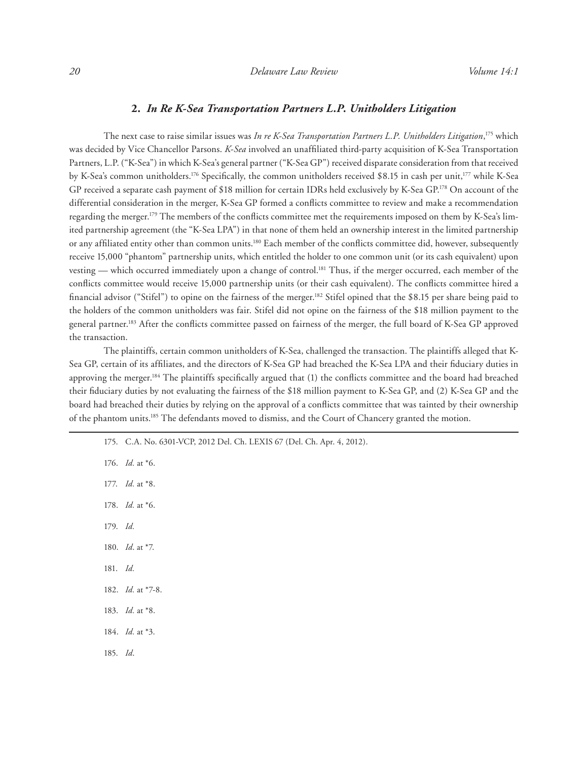## **2.** *In Re K-Sea Transportation Partners L.P. Unitholders Litigation*

The next case to raise similar issues was *In re K-Sea Transportation Partners L.P. Unitholders Litigation*, 175 which was decided by Vice Chancellor Parsons. *K-Sea* involved an unaffiliated third-party acquisition of K-Sea Transportation Partners, L.P. ("K-Sea") in which K-Sea's general partner ("K-Sea GP") received disparate consideration from that received by K-Sea's common unitholders.176 Specifically, the common unitholders received \$8.15 in cash per unit,177 while K-Sea GP received a separate cash payment of \$18 million for certain IDRs held exclusively by K-Sea GP.178 On account of the differential consideration in the merger, K-Sea GP formed a conflicts committee to review and make a recommendation regarding the merger.179 The members of the conflicts committee met the requirements imposed on them by K-Sea's limited partnership agreement (the "K-Sea LPA") in that none of them held an ownership interest in the limited partnership or any affiliated entity other than common units.<sup>180</sup> Each member of the conflicts committee did, however, subsequently receive 15,000 "phantom" partnership units, which entitled the holder to one common unit (or its cash equivalent) upon vesting — which occurred immediately upon a change of control.181 Thus, if the merger occurred, each member of the conflicts committee would receive 15,000 partnership units (or their cash equivalent). The conflicts committee hired a financial advisor ("Stifel") to opine on the fairness of the merger.182 Stifel opined that the \$8.15 per share being paid to the holders of the common unitholders was fair. Stifel did not opine on the fairness of the \$18 million payment to the general partner.183 After the conflicts committee passed on fairness of the merger, the full board of K-Sea GP approved the transaction.

The plaintiffs, certain common unitholders of K-Sea, challenged the transaction. The plaintiffs alleged that K-Sea GP, certain of its affiliates, and the directors of K-Sea GP had breached the K-Sea LPA and their fiduciary duties in approving the merger.<sup>184</sup> The plaintiffs specifically argued that (1) the conflicts committee and the board had breached their fiduciary duties by not evaluating the fairness of the \$18 million payment to K-Sea GP, and (2) K-Sea GP and the board had breached their duties by relying on the approval of a conflicts committee that was tainted by their ownership of the phantom units.185 The defendants moved to dismiss, and the Court of Chancery granted the motion.

175. C.A. No. 6301-VCP, 2012 Del. Ch. LEXIS 67 (Del. Ch. Apr. 4, 2012). 176. *Id.* at \*6. 177. *Id.* at \*8. 178. *Id.* at \*6. 179. *Id.* 180. *Id*. at \*7. 181. *Id.* 182. *Id.* at \*7-8. 183. *Id.* at \*8. 184. *Id.* at \*3. 185. *Id*.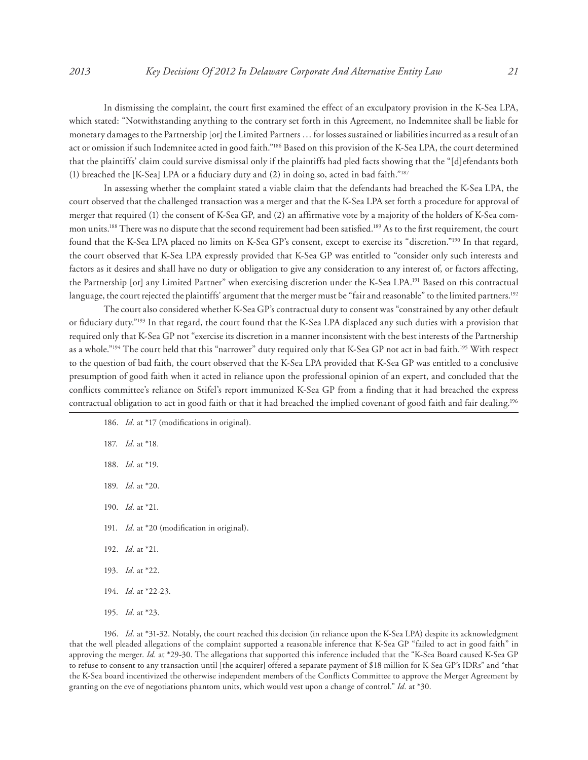In dismissing the complaint, the court first examined the effect of an exculpatory provision in the K-Sea LPA, which stated: "Notwithstanding anything to the contrary set forth in this Agreement, no Indemnitee shall be liable for monetary damages to the Partnership [or] the Limited Partners … for losses sustained or liabilities incurred as a result of an act or omission if such Indemnitee acted in good faith."186 Based on this provision of the K-Sea LPA, the court determined that the plaintiffs' claim could survive dismissal only if the plaintiffs had pled facts showing that the "[d]efendants both (1) breached the [K-Sea] LPA or a fiduciary duty and (2) in doing so, acted in bad faith."187

In assessing whether the complaint stated a viable claim that the defendants had breached the K-Sea LPA, the court observed that the challenged transaction was a merger and that the K-Sea LPA set forth a procedure for approval of merger that required (1) the consent of K-Sea GP, and (2) an affirmative vote by a majority of the holders of K-Sea common units.<sup>188</sup> There was no dispute that the second requirement had been satisfied.<sup>189</sup> As to the first requirement, the court found that the K-Sea LPA placed no limits on K-Sea GP's consent, except to exercise its "discretion."190 In that regard, the court observed that K-Sea LPA expressly provided that K-Sea GP was entitled to "consider only such interests and factors as it desires and shall have no duty or obligation to give any consideration to any interest of, or factors affecting, the Partnership [or] any Limited Partner" when exercising discretion under the K-Sea LPA.191 Based on this contractual language, the court rejected the plaintiffs' argument that the merger must be "fair and reasonable" to the limited partners.<sup>192</sup>

The court also considered whether K-Sea GP's contractual duty to consent was "constrained by any other default or fiduciary duty."193 In that regard, the court found that the K-Sea LPA displaced any such duties with a provision that required only that K-Sea GP not "exercise its discretion in a manner inconsistent with the best interests of the Partnership as a whole."194 The court held that this "narrower" duty required only that K-Sea GP not act in bad faith.195 With respect to the question of bad faith, the court observed that the K-Sea LPA provided that K-Sea GP was entitled to a conclusive presumption of good faith when it acted in reliance upon the professional opinion of an expert, and concluded that the conflicts committee's reliance on Stifel's report immunized K-Sea GP from a finding that it had breached the express contractual obligation to act in good faith or that it had breached the implied covenant of good faith and fair dealing.<sup>196</sup>

186. *Id.* at \*17 (modifications in original). 187. *Id.* at \*18*.* 188. *Id.* at \*19. 189. *Id.* at \*20. 190. *Id.* at \*21. 191. *Id.* at \*20 (modification in original). 192. *Id.* at \*21. 193. *Id.* at \*22. 194. *Id.* at \*22-23. 195. *Id.* at \*23.

196. *Id.* at \*31-32. Notably, the court reached this decision (in reliance upon the K-Sea LPA) despite its acknowledgment that the well pleaded allegations of the complaint supported a reasonable inference that K-Sea GP "failed to act in good faith" in approving the merger. *Id.* at \*29-30. The allegations that supported this inference included that the "K-Sea Board caused K-Sea GP to refuse to consent to any transaction until [the acquirer] offered a separate payment of \$18 million for K-Sea GP's IDRs" and "that the K-Sea board incentivized the otherwise independent members of the Conflicts Committee to approve the Merger Agreement by granting on the eve of negotiations phantom units, which would vest upon a change of control." *Id.* at \*30.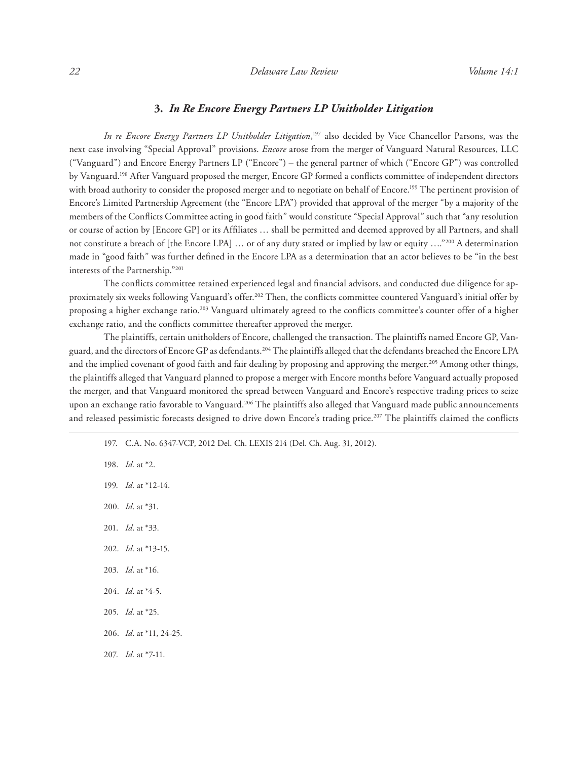# **3.** *In Re Encore Energy Partners LP Unitholder Litigation*

*In re Encore Energy Partners LP Unitholder Litigation*, 197 also decided by Vice Chancellor Parsons, was the next case involving "Special Approval" provisions. *Encore* arose from the merger of Vanguard Natural Resources, LLC ("Vanguard") and Encore Energy Partners LP ("Encore") – the general partner of which ("Encore GP") was controlled by Vanguard.198 After Vanguard proposed the merger, Encore GP formed a conflicts committee of independent directors with broad authority to consider the proposed merger and to negotiate on behalf of Encore.<sup>199</sup> The pertinent provision of Encore's Limited Partnership Agreement (the "Encore LPA") provided that approval of the merger "by a majority of the members of the Conflicts Committee acting in good faith" would constitute "Special Approval" such that "any resolution or course of action by [Encore GP] or its Affiliates … shall be permitted and deemed approved by all Partners, and shall not constitute a breach of [the Encore LPA] ... or of any duty stated or implied by law or equity ...."<sup>200</sup> A determination made in "good faith" was further defined in the Encore LPA as a determination that an actor believes to be "in the best interests of the Partnership."201

The conflicts committee retained experienced legal and financial advisors, and conducted due diligence for approximately six weeks following Vanguard's offer.202 Then, the conflicts committee countered Vanguard's initial offer by proposing a higher exchange ratio.203 Vanguard ultimately agreed to the conflicts committee's counter offer of a higher exchange ratio, and the conflicts committee thereafter approved the merger.

The plaintiffs, certain unitholders of Encore, challenged the transaction. The plaintiffs named Encore GP, Vanguard, and the directors of Encore GP as defendants.204 The plaintiffs alleged that the defendants breached the Encore LPA and the implied covenant of good faith and fair dealing by proposing and approving the merger.<sup>205</sup> Among other things, the plaintiffs alleged that Vanguard planned to propose a merger with Encore months before Vanguard actually proposed the merger, and that Vanguard monitored the spread between Vanguard and Encore's respective trading prices to seize upon an exchange ratio favorable to Vanguard.<sup>206</sup> The plaintiffs also alleged that Vanguard made public announcements and released pessimistic forecasts designed to drive down Encore's trading price.<sup>207</sup> The plaintiffs claimed the conflicts

- 197. C.A. No. 6347-VCP, 2012 Del. Ch. LEXIS 214 (Del. Ch. Aug. 31, 2012).
- 198. *Id.* at \*2.
- 199. *Id.* at \*12-14.
- 200. *Id*. at \*31.
- 201. *Id*. at \*33.
- 202. *Id.* at \*13-15.
- 203. *Id*. at \*16.
- 204. *Id*. at \*4-5.
- 205. *Id.* at \*25.
- 206. *Id*. at \*11, 24-25.
- 207. *Id.* at \*7-11.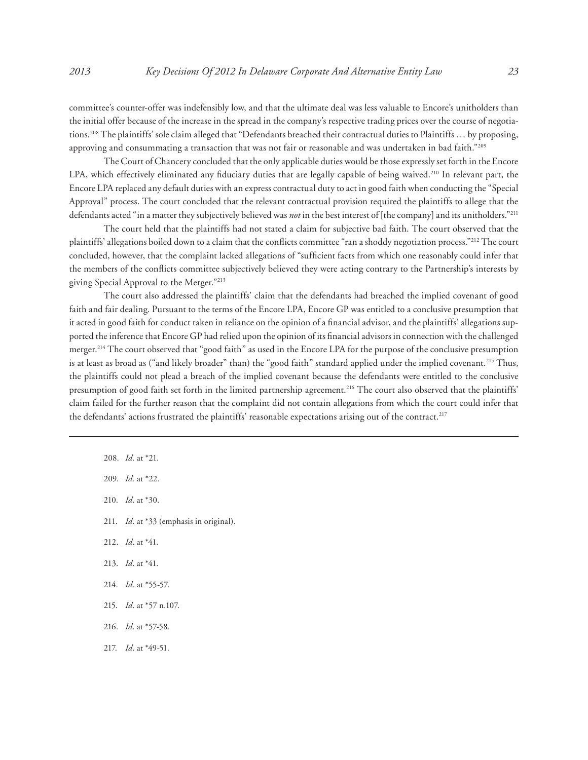committee's counter-offer was indefensibly low, and that the ultimate deal was less valuable to Encore's unitholders than the initial offer because of the increase in the spread in the company's respective trading prices over the course of negotiations.<sup>208</sup> The plaintiffs' sole claim alleged that "Defendants breached their contractual duties to Plaintiffs ... by proposing, approving and consummating a transaction that was not fair or reasonable and was undertaken in bad faith."209

The Court of Chancery concluded that the only applicable duties would be those expressly set forth in the Encore LPA, which effectively eliminated any fiduciary duties that are legally capable of being waived.<sup>210</sup> In relevant part, the Encore LPA replaced any default duties with an express contractual duty to act in good faith when conducting the "Special Approval" process. The court concluded that the relevant contractual provision required the plaintiffs to allege that the defendants acted "in a matter they subjectively believed was *not* in the best interest of [the company] and its unitholders."211

The court held that the plaintiffs had not stated a claim for subjective bad faith. The court observed that the plaintiffs' allegations boiled down to a claim that the conflicts committee "ran a shoddy negotiation process."212 The court concluded, however, that the complaint lacked allegations of "sufficient facts from which one reasonably could infer that the members of the conflicts committee subjectively believed they were acting contrary to the Partnership's interests by giving Special Approval to the Merger."213

The court also addressed the plaintiffs' claim that the defendants had breached the implied covenant of good faith and fair dealing. Pursuant to the terms of the Encore LPA, Encore GP was entitled to a conclusive presumption that it acted in good faith for conduct taken in reliance on the opinion of a financial advisor, and the plaintiffs' allegations supported the inference that Encore GP had relied upon the opinion of its financial advisors in connection with the challenged merger.214 The court observed that "good faith" as used in the Encore LPA for the purpose of the conclusive presumption is at least as broad as ("and likely broader" than) the "good faith" standard applied under the implied covenant.<sup>215</sup> Thus, the plaintiffs could not plead a breach of the implied covenant because the defendants were entitled to the conclusive presumption of good faith set forth in the limited partnership agreement.<sup>216</sup> The court also observed that the plaintiffs' claim failed for the further reason that the complaint did not contain allegations from which the court could infer that the defendants' actions frustrated the plaintiffs' reasonable expectations arising out of the contract.<sup>217</sup>

- 208. *Id.* at \*21.
- 209. *Id.* at \*22.
- 210. *Id*. at \*30.
- 211. *Id*. at \*33 (emphasis in original).
- 212. *Id*. at \*41.
- 213. *Id*. at \*41.
- 214. *Id.* at \*55-57.
- 215. *Id*. at \*57 n.107.
- 216. *Id*. at \*57-58.
- 217. *Id*. at \*49-51.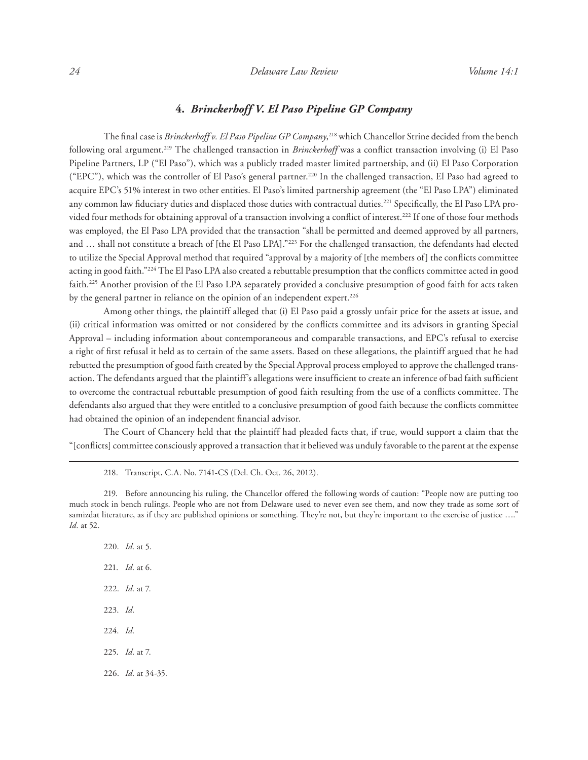# **4.** *Brinckerhoff V. El Paso Pipeline GP Company*

The final case is *Brinckerhoff v. El Paso Pipeline GP Company*, 218 which Chancellor Strine decided from the bench following oral argument.219 The challenged transaction in *Brinckerhoff* was a conflict transaction involving (i) El Paso Pipeline Partners, LP ("El Paso"), which was a publicly traded master limited partnership, and (ii) El Paso Corporation ("EPC"), which was the controller of El Paso's general partner.<sup>220</sup> In the challenged transaction, El Paso had agreed to acquire EPC's 51% interest in two other entities. El Paso's limited partnership agreement (the "El Paso LPA") eliminated any common law fiduciary duties and displaced those duties with contractual duties.221 Specifically, the El Paso LPA provided four methods for obtaining approval of a transaction involving a conflict of interest.<sup>222</sup> If one of those four methods was employed, the El Paso LPA provided that the transaction "shall be permitted and deemed approved by all partners, and … shall not constitute a breach of [the El Paso LPA]."223 For the challenged transaction, the defendants had elected to utilize the Special Approval method that required "approval by a majority of [the members of] the conflicts committee acting in good faith."224 The El Paso LPA also created a rebuttable presumption that the conflicts committee acted in good faith.<sup>225</sup> Another provision of the El Paso LPA separately provided a conclusive presumption of good faith for acts taken by the general partner in reliance on the opinion of an independent expert.<sup>226</sup>

Among other things, the plaintiff alleged that (i) El Paso paid a grossly unfair price for the assets at issue, and (ii) critical information was omitted or not considered by the conflicts committee and its advisors in granting Special Approval – including information about contemporaneous and comparable transactions, and EPC's refusal to exercise a right of first refusal it held as to certain of the same assets. Based on these allegations, the plaintiff argued that he had rebutted the presumption of good faith created by the Special Approval process employed to approve the challenged transaction. The defendants argued that the plaintiff's allegations were insufficient to create an inference of bad faith sufficient to overcome the contractual rebuttable presumption of good faith resulting from the use of a conflicts committee. The defendants also argued that they were entitled to a conclusive presumption of good faith because the conflicts committee had obtained the opinion of an independent financial advisor.

The Court of Chancery held that the plaintiff had pleaded facts that, if true, would support a claim that the "[conflicts] committee consciously approved a transaction that it believed was unduly favorable to the parent at the expense

- 218. Transcript, C.A. No. 7141-CS (Del. Ch. Oct. 26, 2012).
- 219. Before announcing his ruling, the Chancellor offered the following words of caution: "People now are putting too much stock in bench rulings. People who are not from Delaware used to never even see them, and now they trade as some sort of samizdat literature, as if they are published opinions or something. They're not, but they're important to the exercise of justice ...." *Id.* at 52*.*
	- 220. *Id.* at 5. 221. *Id.* at 6. 222. *Id.* at 7. 223. *Id.* 224. *Id.* 225. *Id.* at 7. 226. *Id.* at 34-35.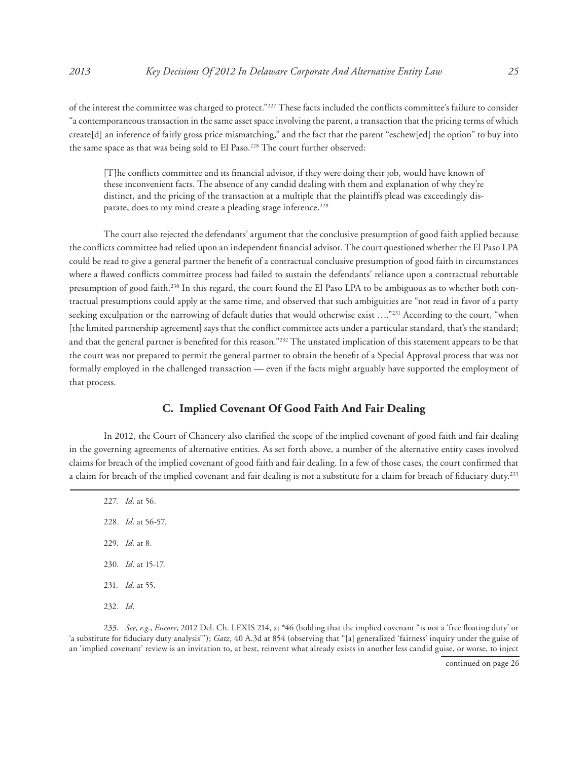of the interest the committee was charged to protect."227 These facts included the conflicts committee's failure to consider "a contemporaneous transaction in the same asset space involving the parent, a transaction that the pricing terms of which create[d] an inference of fairly gross price mismatching," and the fact that the parent "eschew[ed] the option" to buy into the same space as that was being sold to El Paso.<sup>228</sup> The court further observed:

[T]he conflicts committee and its financial advisor, if they were doing their job, would have known of these inconvenient facts. The absence of any candid dealing with them and explanation of why they're distinct, and the pricing of the transaction at a multiple that the plaintiffs plead was exceedingly disparate, does to my mind create a pleading stage inference.<sup>229</sup>

The court also rejected the defendants' argument that the conclusive presumption of good faith applied because the conflicts committee had relied upon an independent financial advisor. The court questioned whether the El Paso LPA could be read to give a general partner the benefit of a contractual conclusive presumption of good faith in circumstances where a flawed conflicts committee process had failed to sustain the defendants' reliance upon a contractual rebuttable presumption of good faith.230 In this regard, the court found the El Paso LPA to be ambiguous as to whether both contractual presumptions could apply at the same time, and observed that such ambiguities are "not read in favor of a party seeking exculpation or the narrowing of default duties that would otherwise exist ...."<sup>231</sup> According to the court, "when [the limited partnership agreement] says that the conflict committee acts under a particular standard, that's the standard; and that the general partner is benefited for this reason."232 The unstated implication of this statement appears to be that the court was not prepared to permit the general partner to obtain the benefit of a Special Approval process that was not formally employed in the challenged transaction — even if the facts might arguably have supported the employment of that process.

# **C. Implied Covenant Of Good Faith And Fair Dealing**

In 2012, the Court of Chancery also clarified the scope of the implied covenant of good faith and fair dealing in the governing agreements of alternative entities. As set forth above, a number of the alternative entity cases involved claims for breach of the implied covenant of good faith and fair dealing. In a few of those cases, the court confirmed that a claim for breach of the implied covenant and fair dealing is not a substitute for a claim for breach of fiduciary duty.<sup>233</sup>

227. *Id*. at 56. 228. *Id*. at 56-57. 229. *Id.* at 8. 230. *Id*. at 15-17. 231. *Id*. at 55. 232. *Id*.

233. *See*, *e.g*., *Encore*, 2012 Del. Ch. LEXIS 214, at \*46 (holding that the implied covenant "is not a 'free floating duty' or 'a substitute for fiduciary duty analysis'"); *Gatz*, 40 A.3d at 854 (observing that "[a] generalized 'fairness' inquiry under the guise of an 'implied covenant' review is an invitation to, at best, reinvent what already exists in another less candid guise, or worse, to inject

continued on page 26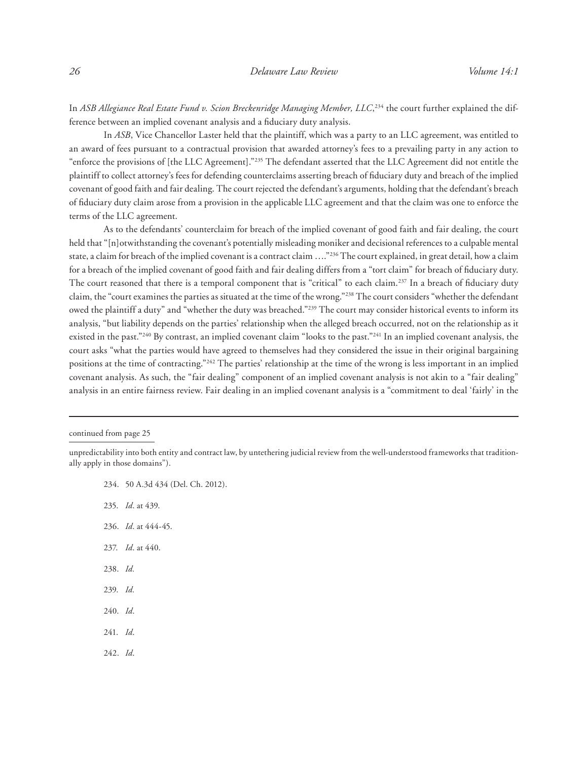In *ASB Allegiance Real Estate Fund v. Scion Breckenridge Managing Member, LLC,<sup>234</sup> the court further explained the dif*ference between an implied covenant analysis and a fiduciary duty analysis.

In *ASB*, Vice Chancellor Laster held that the plaintiff, which was a party to an LLC agreement, was entitled to an award of fees pursuant to a contractual provision that awarded attorney's fees to a prevailing party in any action to "enforce the provisions of [the LLC Agreement]."235 The defendant asserted that the LLC Agreement did not entitle the plaintiff to collect attorney's fees for defending counterclaims asserting breach of fiduciary duty and breach of the implied covenant of good faith and fair dealing. The court rejected the defendant's arguments, holding that the defendant's breach of fiduciary duty claim arose from a provision in the applicable LLC agreement and that the claim was one to enforce the terms of the LLC agreement.

As to the defendants' counterclaim for breach of the implied covenant of good faith and fair dealing, the court held that "[n]otwithstanding the covenant's potentially misleading moniker and decisional references to a culpable mental state, a claim for breach of the implied covenant is a contract claim …."236 The court explained, in great detail, how a claim for a breach of the implied covenant of good faith and fair dealing differs from a "tort claim" for breach of fiduciary duty. The court reasoned that there is a temporal component that is "critical" to each claim.<sup>237</sup> In a breach of fiduciary duty claim, the "court examines the parties as situated at the time of the wrong."238 The court considers "whether the defendant owed the plaintiff a duty" and "whether the duty was breached."239 The court may consider historical events to inform its analysis, "but liability depends on the parties' relationship when the alleged breach occurred, not on the relationship as it existed in the past."<sup>240</sup> By contrast, an implied covenant claim "looks to the past."<sup>241</sup> In an implied covenant analysis, the court asks "what the parties would have agreed to themselves had they considered the issue in their original bargaining positions at the time of contracting."242 The parties' relationship at the time of the wrong is less important in an implied covenant analysis. As such, the "fair dealing" component of an implied covenant analysis is not akin to a "fair dealing" analysis in an entire fairness review. Fair dealing in an implied covenant analysis is a "commitment to deal 'fairly' in the

- 234. 50 A.3d 434 (Del. Ch. 2012).
- 235. *Id*. at 439.
- 236. *Id*. at 444-45.
- 237. *Id*. at 440.
- 238. *Id.*
- 239. *Id.*
- 240. *Id*.
- 241. *Id*.
- 242. *Id*.

continued from page 25

unpredictability into both entity and contract law, by untethering judicial review from the well-understood frameworks that traditionally apply in those domains").